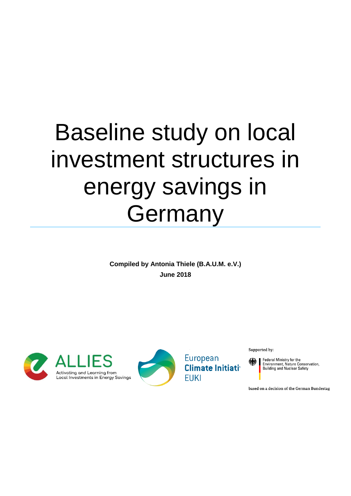# Baseline study on local investment structures in energy savings in Germany

**Compiled by Antonia Thiele (B.A.U.M. e.V.) June 2018**





European **Climate Initiativ FUKI** 

Supported by:

Federal Ministry for the<br>Environment, Nature Conservation, **Building and Nuclear Safety** 

based on a decision of the German Bundestag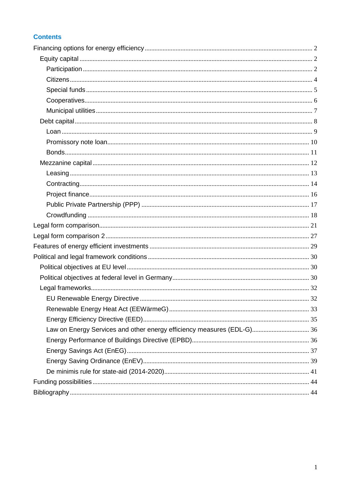# **Contents**

| Law on Energy Services and other energy efficiency measures (EDL-G) 36 |  |
|------------------------------------------------------------------------|--|
|                                                                        |  |
|                                                                        |  |
|                                                                        |  |
|                                                                        |  |
|                                                                        |  |
|                                                                        |  |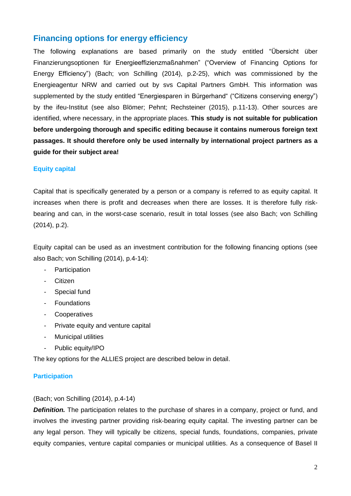# <span id="page-2-0"></span>**Financing options for energy efficiency**

The following explanations are based primarily on the study entitled "Übersicht über Finanzierungsoptionen für Energieeffizienzmaßnahmen" ("Overview of Financing Options for Energy Efficiency") (Bach; von Schilling (2014), p.2-25), which was commissioned by the Energieagentur NRW and carried out by svs Capital Partners GmbH. This information was supplemented by the study entitled "Energiesparen in Bürgerhand" ("Citizens conserving energy") by the ifeu-Institut (see also Blömer; Pehnt; Rechsteiner (2015), p.11-13). Other sources are identified, where necessary, in the appropriate places. **This study is not suitable for publication before undergoing thorough and specific editing because it contains numerous foreign text passages. It should therefore only be used internally by international project partners as a guide for their subject area!**

## <span id="page-2-1"></span>**Equity capital**

Capital that is specifically generated by a person or a company is referred to as equity capital. It increases when there is profit and decreases when there are losses. It is therefore fully riskbearing and can, in the worst-case scenario, result in total losses (see also Bach; von Schilling (2014), p.2).

Equity capital can be used as an investment contribution for the following financing options (see also Bach; von Schilling (2014), p.4-14):

- Participation
- Citizen
- Special fund
- Foundations
- Cooperatives
- Private equity and venture capital
- Municipal utilities
- Public equity/IPO

The key options for the ALLIES project are described below in detail.

## <span id="page-2-2"></span>**Participation**

## (Bach; von Schilling (2014), p.4-14)

**Definition.** The participation relates to the purchase of shares in a company, project or fund, and involves the investing partner providing risk-bearing equity capital. The investing partner can be any legal person. They will typically be citizens, special funds, foundations, companies, private equity companies, venture capital companies or municipal utilities. As a consequence of Basel II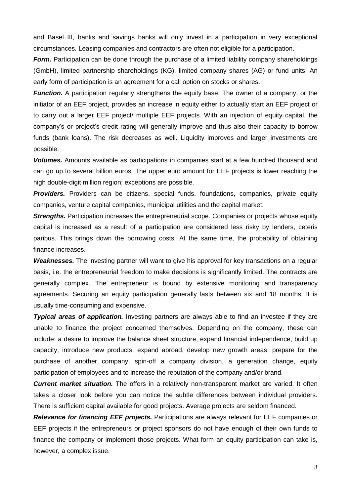and Basel III, banks and savings banks will only invest in a participation in very exceptional circumstances. Leasing companies and contractors are often not eligible for a participation.

**Form.** Participation can be done through the purchase of a limited liability company shareholdings (GmbH), limited partnership shareholdings (KG), limited company shares (AG) or fund units. An early form of participation is an agreement for a call option on stocks or shares.

*Function.* A participation regularly strengthens the equity base. The owner of a company, or the initiator of an EEF project, provides an increase in equity either to actually start an EEF project or to carry out a larger EEF project/ multiple EEF projects. With an injection of equity capital, the company's or project's credit rating will generally improve and thus also their capacity to borrow funds (bank loans). The risk decreases as well. Liquidity improves and larger investments are possible.

*Volumes.* Amounts available as participations in companies start at a few hundred thousand and can go up to several billion euros. The upper euro amount for EEF projects is lower reaching the high double-digit million region; exceptions are possible.

*Providers.* Providers can be citizens, special funds, foundations, companies, private equity companies, venture capital companies, municipal utilities and the capital market.

**Strengths.** Participation increases the entrepreneurial scope. Companies or projects whose equity capital is increased as a result of a participation are considered less risky by lenders, ceteris paribus. This brings down the borrowing costs. At the same time, the probability of obtaining finance increases.

*Weaknesses.* The investing partner will want to give his approval for key transactions on a regular basis, i.e. the entrepreneurial freedom to make decisions is significantly limited. The contracts are generally complex. The entrepreneur is bound by extensive monitoring and transparency agreements. Securing an equity participation generally lasts between six and 18 months. It is usually time-consuming and expensive.

*Typical areas of application.* Investing partners are always able to find an investee if they are unable to finance the project concerned themselves. Depending on the company, these can include: a desire to improve the balance sheet structure, expand financial independence, build up capacity, introduce new products, expand abroad, develop new growth areas, prepare for the purchase of another company, spin-off a company division, a generation change, equity participation of employees and to increase the reputation of the company and/or brand.

*Current market situation.* The offers in a relatively non-transparent market are varied. It often takes a closer look before you can notice the subtle differences between individual providers. There is sufficient capital available for good projects. Average projects are seldom financed.

*Relevance for financing EEF projects.* Participations are always relevant for EEF companies or EEF projects if the entrepreneurs or project sponsors do not have enough of their own funds to finance the company or implement those projects. What form an equity participation can take is, however, a complex issue.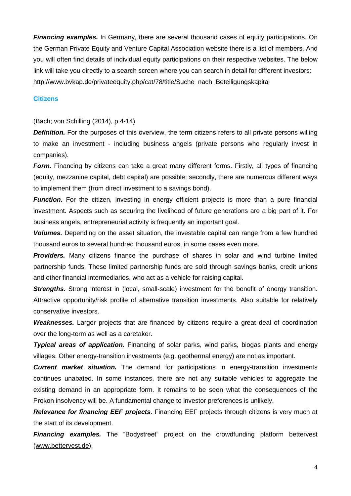*Financing examples.* In Germany, there are several thousand cases of equity participations. On the German Private Equity and Venture Capital Association website there is a list of members. And you will often find details of individual equity participations on their respective websites. The below link will take you directly to a search screen where you can search in detail for different investors: [http://www.bvkap.de/privateequity.php/cat/78/title/Suche\\_nach\\_Beteiligungskapital](http://www.bvkap.de/privateequity.php/cat/78/title/Suche_nach_Beteiligungskapital)

#### <span id="page-4-0"></span>**Citizens**

## (Bach; von Schilling (2014), p.4-14)

**Definition.** For the purposes of this overview, the term citizens refers to all private persons willing to make an investment - including business angels (private persons who regularly invest in companies).

*Form.* Financing by citizens can take a great many different forms. Firstly, all types of financing (equity, mezzanine capital, debt capital) are possible; secondly, there are numerous different ways to implement them (from direct investment to a savings bond).

*Function.* For the citizen, investing in energy efficient projects is more than a pure financial investment. Aspects such as securing the livelihood of future generations are a big part of it. For business angels, entrepreneurial activity is frequently an important goal.

*Volumes.* Depending on the asset situation, the investable capital can range from a few hundred thousand euros to several hundred thousand euros, in some cases even more.

**Providers.** Many citizens finance the purchase of shares in solar and wind turbine limited partnership funds. These limited partnership funds are sold through savings banks, credit unions and other financial intermediaries, who act as a vehicle for raising capital.

**Strengths.** Strong interest in (local, small-scale) investment for the benefit of energy transition. Attractive opportunity/risk profile of alternative transition investments. Also suitable for relatively conservative investors.

*Weaknesses.* Larger projects that are financed by citizens require a great deal of coordination over the long-term as well as a caretaker.

*Typical areas of application.* Financing of solar parks, wind parks, biogas plants and energy villages. Other energy-transition investments (e.g. geothermal energy) are not as important.

*Current market situation.* The demand for participations in energy-transition investments continues unabated. In some instances, there are not any suitable vehicles to aggregate the existing demand in an appropriate form. It remains to be seen what the consequences of the Prokon insolvency will be. A fundamental change to investor preferences is unlikely.

*Relevance for financing EEF projects.* Financing EEF projects through citizens is very much at the start of its development.

**Financing examples.** The "Bodystreet" project on the crowdfunding platform bettervest [\(www.bettervest.de\)](http://www.bettervest.de/).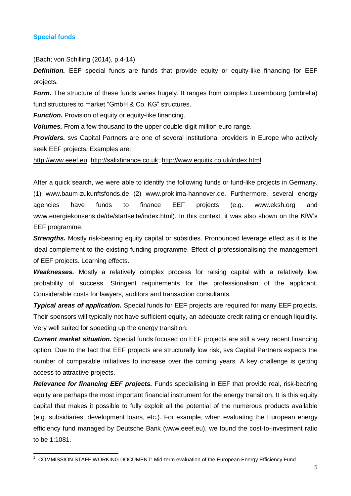## <span id="page-5-0"></span>**Special funds**

(Bach; von Schilling (2014), p.4-14)

**Definition.** EEF special funds are funds that provide equity or equity-like financing for EEF projects.

*Form.* The structure of these funds varies hugely. It ranges from complex Luxembourg (umbrella) fund structures to market "GmbH & Co. KG" structures.

*Function.* Provision of equity or equity-like financing.

*Volumes.* From a few thousand to the upper double-digit million euro range.

**Providers.** svs Capital Partners are one of several institutional providers in Europe who actively seek EEF projects. Examples are:

[http://www.eeef.eu;](http://www.eeef.eu/) [http://salixfinance.co.uk;](http://salixfinance.co.uk/) <http://www.equitix.co.uk/index.html>

After a quick search, we were able to identify the following funds or fund-like projects in Germany. (1) www.baum-zukunftsfonds.de (2) www.proklima-hannover.de. Furthermore, several energy agencies have funds to finance EEF projects (e.g. www.eksh.org and www.energiekonsens.de/de/startseite/index.html). In this context, it was also shown on the KfW's EEF programme.

*Strengths.* Mostly risk-bearing equity capital or subsidies. Pronounced leverage effect as it is the ideal complement to the existing funding programme. Effect of professionalising the management of EEF projects. Learning effects.

*Weaknesses.* Mostly a relatively complex process for raising capital with a relatively low probability of success. Stringent requirements for the professionalism of the applicant. Considerable costs for lawyers, auditors and transaction consultants.

*Typical areas of application.* Special funds for EEF projects are required for many EEF projects. Their sponsors will typically not have sufficient equity, an adequate credit rating or enough liquidity. Very well suited for speeding up the energy transition.

*Current market situation.* Special funds focused on EEF projects are still a very recent financing option. Due to the fact that EEF projects are structurally low risk, svs Capital Partners expects the number of comparable initiatives to increase over the coming years. A key challenge is getting access to attractive projects.

*Relevance for financing EEF projects.* Funds specialising in EEF that provide real, risk-bearing equity are perhaps the most important financial instrument for the energy transition. It is this equity capital that makes it possible to fully exploit all the potential of the numerous products available (e.g. subsidiaries, development loans, etc.). For example, when evaluating the European energy efficiency fund managed by Deutsche Bank (www.eeef.eu), we found the cost-to-investment ratio to be 1:1081.

 1 COMMISSION STAFF WORKING DOCUMENT: Mid-term evaluation of the European Energy Efficiency Fund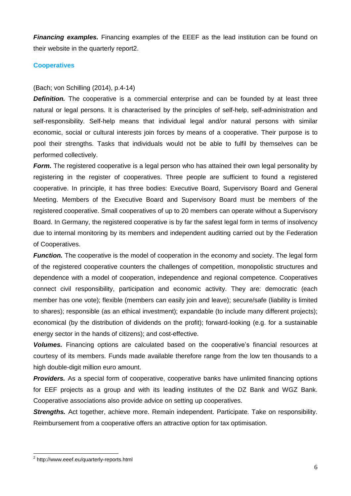*Financing examples.* Financing examples of the EEEF as the lead institution can be found on their website in the quarterly report2.

## <span id="page-6-0"></span>**Cooperatives**

## (Bach; von Schilling (2014), p.4-14)

**Definition.** The cooperative is a commercial enterprise and can be founded by at least three natural or legal persons. It is characterised by the principles of self-help, self-administration and self-responsibility. Self-help means that individual legal and/or natural persons with similar economic, social or cultural interests join forces by means of a cooperative. Their purpose is to pool their strengths. Tasks that individuals would not be able to fulfil by themselves can be performed collectively.

*Form.* The registered cooperative is a legal person who has attained their own legal personality by registering in the register of cooperatives. Three people are sufficient to found a registered cooperative. In principle, it has three bodies: Executive Board, Supervisory Board and General Meeting. Members of the Executive Board and Supervisory Board must be members of the registered cooperative. Small cooperatives of up to 20 members can operate without a Supervisory Board. In Germany, the registered cooperative is by far the safest legal form in terms of insolvency due to internal monitoring by its members and independent auditing carried out by the Federation of Cooperatives.

*Function.* The cooperative is the model of cooperation in the economy and society. The legal form of the registered cooperative counters the challenges of competition, monopolistic structures and dependence with a model of cooperation, independence and regional competence. Cooperatives connect civil responsibility, participation and economic activity. They are: democratic (each member has one vote); flexible (members can easily join and leave); secure/safe (liability is limited to shares); responsible (as an ethical investment); expandable (to include many different projects); economical (by the distribution of dividends on the profit); forward-looking (e.g. for a sustainable energy sector in the hands of citizens); and cost-effective.

*Volumes.* Financing options are calculated based on the cooperative's financial resources at courtesy of its members. Funds made available therefore range from the low ten thousands to a high double-digit million euro amount.

**Providers.** As a special form of cooperative, cooperative banks have unlimited financing options for EEF projects as a group and with its leading institutes of the DZ Bank and WGZ Bank. Cooperative associations also provide advice on setting up cooperatives.

**Strengths.** Act together, achieve more. Remain independent. Participate. Take on responsibility. Reimbursement from a cooperative offers an attractive option for tax optimisation.

 2 http://www.eeef.eu/quarterly-reports.html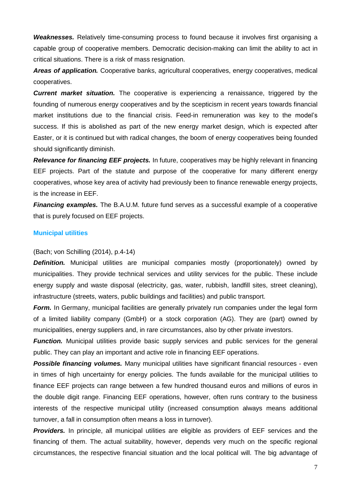*Weaknesses.* Relatively time-consuming process to found because it involves first organising a capable group of cooperative members. Democratic decision-making can limit the ability to act in critical situations. There is a risk of mass resignation.

*Areas of application.* Cooperative banks, agricultural cooperatives, energy cooperatives, medical cooperatives.

**Current market situation.** The cooperative is experiencing a renaissance, triggered by the founding of numerous energy cooperatives and by the scepticism in recent years towards financial market institutions due to the financial crisis. Feed-in remuneration was key to the model's success. If this is abolished as part of the new energy market design, which is expected after Easter, or it is continued but with radical changes, the boom of energy cooperatives being founded should significantly diminish.

*Relevance for financing EEF projects.* In future, cooperatives may be highly relevant in financing EEF projects. Part of the statute and purpose of the cooperative for many different energy cooperatives, whose key area of activity had previously been to finance renewable energy projects, is the increase in EEF.

*Financing examples.* The B.A.U.M. future fund serves as a successful example of a cooperative that is purely focused on EEF projects.

## <span id="page-7-0"></span>**Municipal utilities**

(Bach; von Schilling (2014), p.4-14)

**Definition.** Municipal utilities are municipal companies mostly (proportionately) owned by municipalities. They provide technical services and utility services for the public. These include energy supply and waste disposal (electricity, gas, water, rubbish, landfill sites, street cleaning), infrastructure (streets, waters, public buildings and facilities) and public transport.

*Form.* In Germany, municipal facilities are generally privately run companies under the legal form of a limited liability company (GmbH) or a stock corporation (AG). They are (part) owned by municipalities, energy suppliers and, in rare circumstances, also by other private investors.

*Function.* Municipal utilities provide basic supply services and public services for the general public. They can play an important and active role in financing EEF operations.

*Possible financing volumes.* Many municipal utilities have significant financial resources - even in times of high uncertainty for energy policies. The funds available for the municipal utilities to finance EEF projects can range between a few hundred thousand euros and millions of euros in the double digit range. Financing EEF operations, however, often runs contrary to the business interests of the respective municipal utility (increased consumption always means additional turnover, a fall in consumption often means a loss in turnover).

**Providers.** In principle, all municipal utilities are eligible as providers of EEF services and the financing of them. The actual suitability, however, depends very much on the specific regional circumstances, the respective financial situation and the local political will. The big advantage of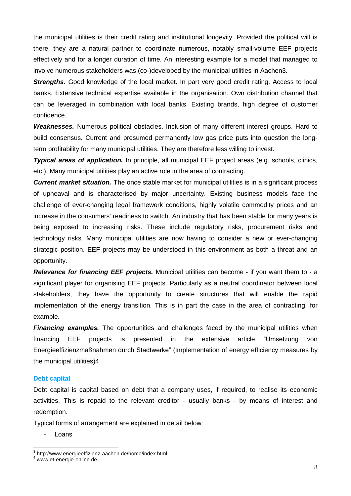the municipal utilities is their credit rating and institutional longevity. Provided the political will is there, they are a natural partner to coordinate numerous, notably small-volume EEF projects effectively and for a longer duration of time. An interesting example for a model that managed to involve numerous stakeholders was (co-)developed by the municipal utilities in Aachen3.

*Strengths.* Good knowledge of the local market. In part very good credit rating. Access to local banks. Extensive technical expertise available in the organisation. Own distribution channel that can be leveraged in combination with local banks. Existing brands, high degree of customer confidence.

*Weaknesses.* Numerous political obstacles. Inclusion of many different interest groups. Hard to build consensus. Current and presumed permanently low gas price puts into question the longterm profitability for many municipal utilities. They are therefore less willing to invest.

*Typical areas of application.* In principle, all municipal EEF project areas (e.g. schools, clinics, etc.). Many municipal utilities play an active role in the area of contracting.

*Current market situation.* The once stable market for municipal utilities is in a significant process of upheaval and is characterised by major uncertainty. Existing business models face the challenge of ever-changing legal framework conditions, highly volatile commodity prices and an increase in the consumers' readiness to switch. An industry that has been stable for many years is being exposed to increasing risks. These include regulatory risks, procurement risks and technology risks. Many municipal utilities are now having to consider a new or ever-changing strategic position. EEF projects may be understood in this environment as both a threat and an opportunity.

*Relevance for financing EEF projects.* Municipal utilities can become - if you want them to - a significant player for organising EEF projects. Particularly as a neutral coordinator between local stakeholders, they have the opportunity to create structures that will enable the rapid implementation of the energy transition. This is in part the case in the area of contracting, for example.

**Financing examples.** The opportunities and challenges faced by the municipal utilities when financing EEF projects is presented in the extensive article "Umsetzung von Energieeffizienzmaßnahmen durch Stadtwerke" (Implementation of energy efficiency measures by the municipal utilities)4.

## <span id="page-8-0"></span>**Debt capital**

Debt capital is capital based on debt that a company uses, if required, to realise its economic activities. This is repaid to the relevant creditor - usually banks - by means of interest and redemption.

Typical forms of arrangement are explained in detail below:

- Loans

-

<sup>3</sup> http://www.energieeffizienz-aachen.de/home/index.html

<sup>4</sup> www.et-energie-online.de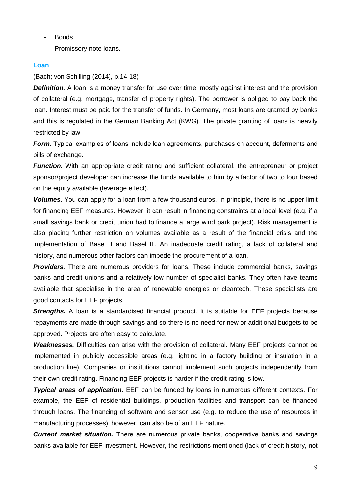- Bonds
- Promissory note loans.

## <span id="page-9-0"></span>**Loan**

## (Bach; von Schilling (2014), p.14-18)

**Definition.** A loan is a money transfer for use over time, mostly against interest and the provision of collateral (e.g. mortgage, transfer of property rights). The borrower is obliged to pay back the loan. Interest must be paid for the transfer of funds. In Germany, most loans are granted by banks and this is regulated in the German Banking Act (KWG). The private granting of loans is heavily restricted by law.

*Form.* Typical examples of loans include loan agreements, purchases on account, deferments and bills of exchange.

*Function.* With an appropriate credit rating and sufficient collateral, the entrepreneur or project sponsor/project developer can increase the funds available to him by a factor of two to four based on the equity available (leverage effect).

*Volumes.* You can apply for a loan from a few thousand euros. In principle, there is no upper limit for financing EEF measures. However, it can result in financing constraints at a local level (e.g. if a small savings bank or credit union had to finance a large wind park project). Risk management is also placing further restriction on volumes available as a result of the financial crisis and the implementation of Basel II and Basel III. An inadequate credit rating, a lack of collateral and history, and numerous other factors can impede the procurement of a loan.

*Providers.* There are numerous providers for loans. These include commercial banks, savings banks and credit unions and a relatively low number of specialist banks. They often have teams available that specialise in the area of renewable energies or cleantech. These specialists are good contacts for EEF projects.

**Strengths.** A loan is a standardised financial product. It is suitable for EEF projects because repayments are made through savings and so there is no need for new or additional budgets to be approved. Projects are often easy to calculate.

*Weaknesses.* Difficulties can arise with the provision of collateral. Many EEF projects cannot be implemented in publicly accessible areas (e.g. lighting in a factory building or insulation in a production line). Companies or institutions cannot implement such projects independently from their own credit rating. Financing EEF projects is harder if the credit rating is low.

*Typical areas of application.* EEF can be funded by loans in numerous different contexts. For example, the EEF of residential buildings, production facilities and transport can be financed through loans. The financing of software and sensor use (e.g. to reduce the use of resources in manufacturing processes), however, can also be of an EEF nature.

*Current market situation.* There are numerous private banks, cooperative banks and savings banks available for EEF investment. However, the restrictions mentioned (lack of credit history, not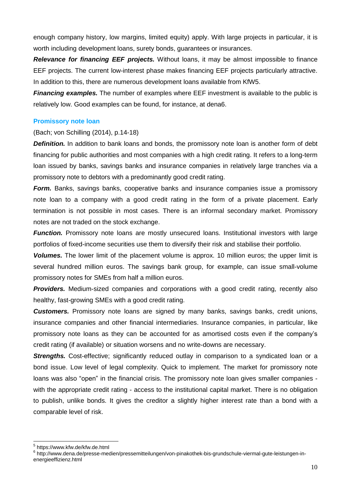enough company history, low margins, limited equity) apply. With large projects in particular, it is worth including development loans, surety bonds, guarantees or insurances.

*Relevance for financing EEF projects.* Without loans, it may be almost impossible to finance EEF projects. The current low-interest phase makes financing EEF projects particularly attractive. In addition to this, there are numerous development loans available from KfW5.

*Financing examples.* The number of examples where EEF investment is available to the public is relatively low. Good examples can be found, for instance, at dena6.

## <span id="page-10-0"></span>**Promissory note loan**

## (Bach; von Schilling (2014), p.14-18)

**Definition.** In addition to bank loans and bonds, the promissory note loan is another form of debt financing for public authorities and most companies with a high credit rating. It refers to a long-term loan issued by banks, savings banks and insurance companies in relatively large tranches via a promissory note to debtors with a predominantly good credit rating.

*Form.* Banks, savings banks, cooperative banks and insurance companies issue a promissory note loan to a company with a good credit rating in the form of a private placement. Early termination is not possible in most cases. There is an informal secondary market. Promissory notes are not traded on the stock exchange.

**Function.** Promissory note loans are mostly unsecured loans. Institutional investors with large portfolios of fixed-income securities use them to diversify their risk and stabilise their portfolio.

*Volumes.* The lower limit of the placement volume is approx. 10 million euros; the upper limit is several hundred million euros. The savings bank group, for example, can issue small-volume promissory notes for SMEs from half a million euros.

**Providers.** Medium-sized companies and corporations with a good credit rating, recently also healthy, fast-growing SMEs with a good credit rating.

*Customers.* Promissory note loans are signed by many banks, savings banks, credit unions, insurance companies and other financial intermediaries. Insurance companies, in particular, like promissory note loans as they can be accounted for as amortised costs even if the company's credit rating (if available) or situation worsens and no write-downs are necessary.

**Strengths.** Cost-effective; significantly reduced outlay in comparison to a syndicated loan or a bond issue. Low level of legal complexity. Quick to implement. The market for promissory note loans was also "open" in the financial crisis. The promissory note loan gives smaller companies with the appropriate credit rating - access to the institutional capital market. There is no obligation to publish, unlike bonds. It gives the creditor a slightly higher interest rate than a bond with a comparable level of risk.

<sup>1</sup> 5 https://www.kfw.de/kfw.de.html

<sup>6</sup> http://www.dena.de/presse-medien/pressemitteilungen/von-pinakothek-bis-grundschule-viermal-gute-leistungen-inenergieeffizienz.html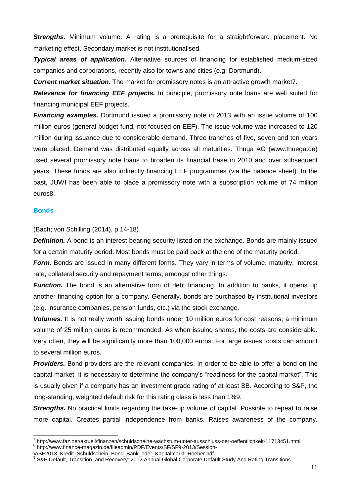*Strengths***.** Minimum volume. A rating is a prerequisite for a straightforward placement. No marketing effect. Secondary market is not institutionalised.

*Typical areas of application.* Alternative sources of financing for established medium-sized companies and corporations, recently also for towns and cities (e.g. Dortmund).

*Current market situation.* The market for promissory notes is an attractive growth market7.

*Relevance for financing EEF projects.* In principle, promissory note loans are well suited for financing municipal EEF projects.

**Financing examples.** Dortmund issued a promissory note in 2013 with an issue volume of 100 million euros (general budget fund, not focused on EEF). The issue volume was increased to 120 million during issuance due to considerable demand. Three tranches of five, seven and ten years were placed. Demand was distributed equally across all maturities. Thüga AG (www.thuega.de) used several promissory note loans to broaden its financial base in 2010 and over subsequent years. These funds are also indirectly financing EEF programmes (via the balance sheet). In the past, JUWI has been able to place a promissory note with a subscription volume of 74 million euros8.

## <span id="page-11-0"></span>**Bonds**

(Bach; von Schilling (2014), p.14-18)

**Definition.** A bond is an interest-bearing security listed on the exchange. Bonds are mainly issued for a certain maturity period. Most bonds must be paid back at the end of the maturity period.

*Form.* Bonds are issued in many different forms. They vary in terms of volume, maturity, interest rate, collateral security and repayment terms, amongst other things.

*Function.* The bond is an alternative form of debt financing. In addition to banks, it opens up another financing option for a company. Generally, bonds are purchased by institutional investors (e.g. insurance companies, pension funds, etc.) via the stock exchange.

*Volumes.* It is not really worth issuing bonds under 10 million euros for cost reasons; a minimum volume of 25 million euros is recommended. As when issuing shares, the costs are considerable. Very often, they will be significantly more than 100,000 euros. For large issues, costs can amount to several million euros.

*Providers.* Bond providers are the relevant companies. In order to be able to offer a bond on the capital market, it is necessary to determine the company's "readiness for the capital market". This is usually given if a company has an investment grade rating of at least BB. According to S&P, the long-standing, weighted default risk for this rating class is less than 1%9.

**Strengths.** No practical limits regarding the take-up volume of capital. Possible to repeat to raise more capital. Creates partial independence from banks. Raises awareness of the company.

 7 http://www.faz.net/aktuell/finanzen/schuldscheine-wachstum-unter-ausschluss-der-oeffentlichkeit-11713451.html 8 http://www.finance-magazin.de/fileadmin/PDF/Events/SF/SF9-2013/Session-

V/SF2013 Kredit\_Schuldschein\_Bond\_Bank\_oder\_Kapitalmarkt\_Roeber.pdf

<sup>9</sup> S&P Default, Transition, and Recovery: 2012 Annual Global Corporate Default Study And Rating Transitions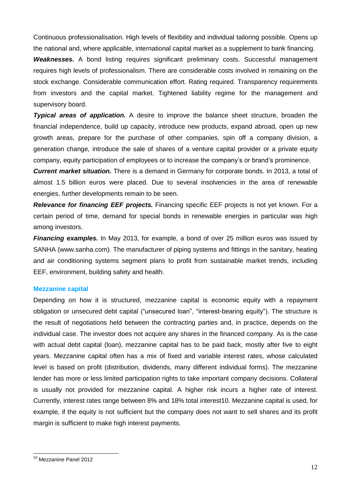Continuous professionalisation. High levels of flexibility and individual tailoring possible. Opens up the national and, where applicable, international capital market as a supplement to bank financing.

*Weaknesses.* A bond listing requires significant preliminary costs. Successful management requires high levels of professionalism. There are considerable costs involved in remaining on the stock exchange. Considerable communication effort. Rating required. Transparency requirements from investors and the capital market. Tightened liability regime for the management and supervisory board.

*Typical areas of application.* A desire to improve the balance sheet structure, broaden the financial independence, build up capacity, introduce new products, expand abroad, open up new growth areas, prepare for the purchase of other companies, spin off a company division, a generation change, introduce the sale of shares of a venture capital provider or a private equity company, equity participation of employees or to increase the company's or brand's prominence.

*Current market situation.* There is a demand in Germany for corporate bonds. In 2013, a total of almost 1.5 billion euros were placed. Due to several insolvencies in the area of renewable energies, further developments remain to be seen.

*Relevance for financing EEF projects.* Financing specific EEF projects is not yet known. For a certain period of time, demand for special bonds in renewable energies in particular was high among investors.

*Financing examples.* In May 2013, for example, a bond of over 25 million euros was issued by SANHA (www.sanha.com). The manufacturer of piping systems and fittings in the sanitary, heating and air conditioning systems segment plans to profit from sustainable market trends, including EEF, environment, building safety and health.

## <span id="page-12-0"></span>**Mezzanine capital**

Depending on how it is structured, mezzanine capital is economic equity with a repayment obligation or unsecured debt capital ("unsecured loan", "interest-bearing equity"). The structure is the result of negotiations held between the contracting parties and, in practice, depends on the individual case. The investor does not acquire any shares in the financed company. As is the case with actual debt capital (loan), mezzanine capital has to be paid back, mostly after five to eight years. Mezzanine capital often has a mix of fixed and variable interest rates, whose calculated level is based on profit (distribution, dividends, many different individual forms). The mezzanine lender has more or less limited participation rights to take important company decisions. Collateral is usually not provided for mezzanine capital. A higher risk incurs a higher rate of interest. Currently, interest rates range between 8% and 18% total interest10. Mezzanine capital is used, for example, if the equity is not sufficient but the company does not want to sell shares and its profit margin is sufficient to make high interest payments.

-

<sup>10</sup> Mezzanine Panel 2012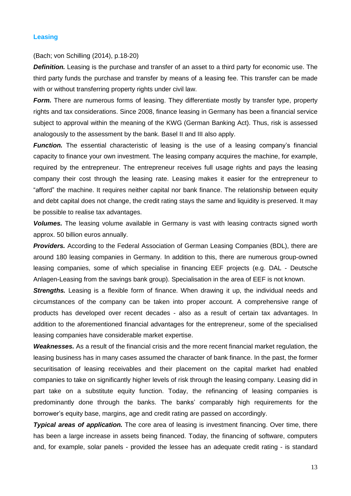#### <span id="page-13-0"></span>**Leasing**

## (Bach; von Schilling (2014), p.18-20)

**Definition.** Leasing is the purchase and transfer of an asset to a third party for economic use. The third party funds the purchase and transfer by means of a leasing fee. This transfer can be made with or without transferring property rights under civil law.

**Form.** There are numerous forms of leasing. They differentiate mostly by transfer type, property rights and tax considerations. Since 2008, finance leasing in Germany has been a financial service subject to approval within the meaning of the KWG (German Banking Act). Thus, risk is assessed analogously to the assessment by the bank. Basel II and III also apply.

*Function.* The essential characteristic of leasing is the use of a leasing company's financial capacity to finance your own investment. The leasing company acquires the machine, for example, required by the entrepreneur. The entrepreneur receives full usage rights and pays the leasing company their cost through the leasing rate. Leasing makes it easier for the entrepreneur to "afford" the machine. It requires neither capital nor bank finance. The relationship between equity and debt capital does not change, the credit rating stays the same and liquidity is preserved. It may be possible to realise tax advantages.

*Volumes.* The leasing volume available in Germany is vast with leasing contracts signed worth approx. 50 billion euros annually.

*Providers.* According to the Federal Association of German Leasing Companies (BDL), there are around 180 leasing companies in Germany. In addition to this, there are numerous group-owned leasing companies, some of which specialise in financing EEF projects (e.g. DAL - Deutsche Anlagen-Leasing from the savings bank group). Specialisation in the area of EEF is not known.

*Strengths.* Leasing is a flexible form of finance. When drawing it up, the individual needs and circumstances of the company can be taken into proper account. A comprehensive range of products has developed over recent decades - also as a result of certain tax advantages. In addition to the aforementioned financial advantages for the entrepreneur, some of the specialised leasing companies have considerable market expertise.

*Weaknesses.* As a result of the financial crisis and the more recent financial market regulation, the leasing business has in many cases assumed the character of bank finance. In the past, the former securitisation of leasing receivables and their placement on the capital market had enabled companies to take on significantly higher levels of risk through the leasing company. Leasing did in part take on a substitute equity function. Today, the refinancing of leasing companies is predominantly done through the banks. The banks' comparably high requirements for the borrower's equity base, margins, age and credit rating are passed on accordingly.

*Typical areas of application.* The core area of leasing is investment financing. Over time, there has been a large increase in assets being financed. Today, the financing of software, computers and, for example, solar panels - provided the lessee has an adequate credit rating - is standard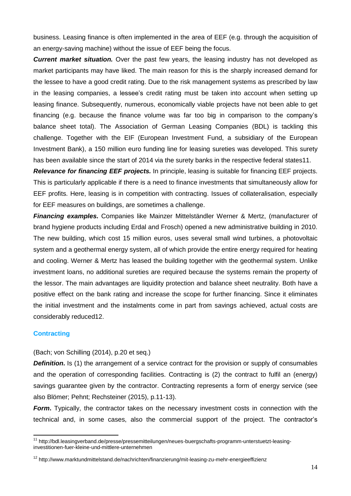business. Leasing finance is often implemented in the area of EEF (e.g. through the acquisition of an energy-saving machine) without the issue of EEF being the focus.

*Current market situation.* Over the past few years, the leasing industry has not developed as market participants may have liked. The main reason for this is the sharply increased demand for the lessee to have a good credit rating. Due to the risk management systems as prescribed by law in the leasing companies, a lessee's credit rating must be taken into account when setting up leasing finance. Subsequently, numerous, economically viable projects have not been able to get financing (e.g. because the finance volume was far too big in comparison to the company's balance sheet total). The Association of German Leasing Companies (BDL) is tackling this challenge. Together with the EIF (European Investment Fund, a subsidiary of the European Investment Bank), a 150 million euro funding line for leasing sureties was developed. This surety has been available since the start of 2014 via the surety banks in the respective federal states11.

*Relevance for financing EEF projects.* In principle, leasing is suitable for financing EEF projects. This is particularly applicable if there is a need to finance investments that simultaneously allow for EEF profits. Here, leasing is in competition with contracting. Issues of collateralisation, especially for EEF measures on buildings, are sometimes a challenge.

*Financing examples.* Companies like Mainzer Mittelständler Werner & Mertz, (manufacturer of brand hygiene products including Erdal and Frosch) opened a new administrative building in 2010. The new building, which cost 15 million euros, uses several small wind turbines, a photovoltaic system and a geothermal energy system, all of which provide the entire energy required for heating and cooling. Werner & Mertz has leased the building together with the geothermal system. Unlike investment loans, no additional sureties are required because the systems remain the property of the lessor. The main advantages are liquidity protection and balance sheet neutrality. Both have a positive effect on the bank rating and increase the scope for further financing. Since it eliminates the initial investment and the instalments come in part from savings achieved, actual costs are considerably reduced12.

## <span id="page-14-0"></span>**Contracting**

-

(Bach; von Schilling (2014), p.20 et seq.)

**Definition.** Is (1) the arrangement of a service contract for the provision or supply of consumables and the operation of corresponding facilities. Contracting is (2) the contract to fulfil an (energy) savings guarantee given by the contractor. Contracting represents a form of energy service (see also Blömer; Pehnt; Rechsteiner (2015), p.11-13).

*Form*. Typically, the contractor takes on the necessary investment costs in connection with the technical and, in some cases, also the commercial support of the project. The contractor's

<sup>&</sup>lt;sup>11</sup> http://bdl.leasingverband.de/presse/pressemitteilungen/neues-buergschafts-programm-unterstuetzt-leasinginvestitionen-fuer-kleine-und-mittlere-unternehmen

<sup>&</sup>lt;sup>12</sup> http://www.marktundmittelstand.de/nachrichten/finanzierung/mit-leasing-zu-mehr-energieeffizienz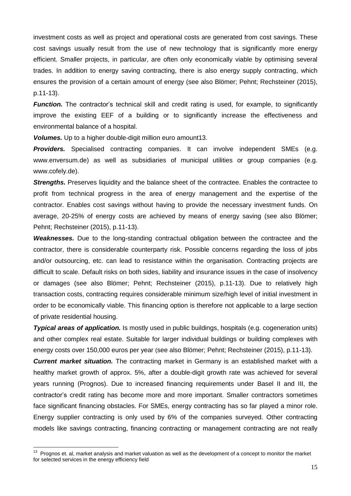investment costs as well as project and operational costs are generated from cost savings. These cost savings usually result from the use of new technology that is significantly more energy efficient. Smaller projects, in particular, are often only economically viable by optimising several trades. In addition to energy saving contracting, there is also energy supply contracting, which ensures the provision of a certain amount of energy (see also Blömer; Pehnt; Rechsteiner (2015), p.11-13).

*Function.* The contractor's technical skill and credit rating is used, for example, to significantly improve the existing EEF of a building or to significantly increase the effectiveness and environmental balance of a hospital.

*Volumes.* Up to a higher double-digit million euro amount13.

**Providers.** Specialised contracting companies. It can involve independent SMEs (e.g. www.enversum.de) as well as subsidiaries of municipal utilities or group companies (e.g. www.cofely.de).

**Strengths.** Preserves liquidity and the balance sheet of the contractee. Enables the contractee to profit from technical progress in the area of energy management and the expertise of the contractor. Enables cost savings without having to provide the necessary investment funds. On average, 20-25% of energy costs are achieved by means of energy saving (see also Blömer; Pehnt; Rechsteiner (2015), p.11-13).

*Weaknesses.* Due to the long-standing contractual obligation between the contractee and the contractor, there is considerable counterparty risk. Possible concerns regarding the loss of jobs and/or outsourcing, etc. can lead to resistance within the organisation. Contracting projects are difficult to scale. Default risks on both sides, liability and insurance issues in the case of insolvency or damages (see also Blömer; Pehnt; Rechsteiner (2015), p.11-13). Due to relatively high transaction costs, contracting requires considerable minimum size/high level of initial investment in order to be economically viable. This financing option is therefore not applicable to a large section of private residential housing.

*Typical areas of application.* Is mostly used in public buildings, hospitals (e.g. cogeneration units) and other complex real estate. Suitable for larger individual buildings or building complexes with energy costs over 150,000 euros per year (see also Blömer; Pehnt; Rechsteiner (2015), p.11-13).

*Current market situation.* The contracting market in Germany is an established market with a healthy market growth of approx. 5%, after a double-digit growth rate was achieved for several years running (Prognos). Due to increased financing requirements under Basel II and III, the contractor's credit rating has become more and more important. Smaller contractors sometimes face significant financing obstacles. For SMEs, energy contracting has so far played a minor role. Energy supplier contracting is only used by 6% of the companies surveyed. Other contracting models like savings contracting, financing contracting or management contracting are not really

 13 Prognos et. al, market analysis and market valuation as well as the development of a concept to monitor the market for selected services in the energy efficiency field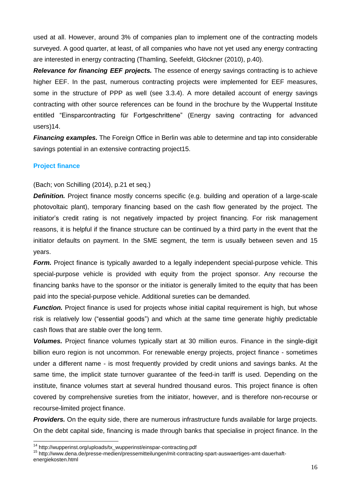used at all. However, around 3% of companies plan to implement one of the contracting models surveyed. A good quarter, at least, of all companies who have not yet used any energy contracting are interested in energy contracting (Thamling, Seefeldt, Glöckner (2010), p.40).

*Relevance for financing EEF projects.* The essence of energy savings contracting is to achieve higher EEF. In the past, numerous contracting projects were implemented for EEF measures, some in the structure of PPP as well (see 3.3.4). A more detailed account of energy savings contracting with other source references can be found in the brochure by the Wuppertal Institute entitled "Einsparcontracting für Fortgeschrittene" (Energy saving contracting for advanced users)14.

**Financing examples.** The Foreign Office in Berlin was able to determine and tap into considerable savings potential in an extensive contracting project15.

## <span id="page-16-0"></span>**Project finance**

1

(Bach; von Schilling (2014), p.21 et seq.)

**Definition.** Project finance mostly concerns specific (e.g. building and operation of a large-scale photovoltaic plant), temporary financing based on the cash flow generated by the project. The initiator's credit rating is not negatively impacted by project financing. For risk management reasons, it is helpful if the finance structure can be continued by a third party in the event that the initiator defaults on payment. In the SME segment, the term is usually between seven and 15 years.

*Form.* Project finance is typically awarded to a legally independent special-purpose vehicle. This special-purpose vehicle is provided with equity from the project sponsor. Any recourse the financing banks have to the sponsor or the initiator is generally limited to the equity that has been paid into the special-purpose vehicle. Additional sureties can be demanded.

*Function.* Project finance is used for projects whose initial capital requirement is high, but whose risk is relatively low ("essential goods") and which at the same time generate highly predictable cash flows that are stable over the long term.

*Volumes.* Project finance volumes typically start at 30 million euros. Finance in the single-digit billion euro region is not uncommon. For renewable energy projects, project finance - sometimes under a different name - is most frequently provided by credit unions and savings banks. At the same time, the implicit state turnover guarantee of the feed-in tariff is used. Depending on the institute, finance volumes start at several hundred thousand euros. This project finance is often covered by comprehensive sureties from the initiator, however, and is therefore non-recourse or recourse-limited project finance.

*Providers.* On the equity side, there are numerous infrastructure funds available for large projects. On the debt capital side, financing is made through banks that specialise in project finance. In the

<sup>14</sup> http://wupperinst.org/uploads/tx\_wupperinst/einspar-contracting.pdf

<sup>15</sup> http://www.dena.de/presse-medien/pressemitteilungen/mit-contracting-spart-auswaertiges-amt-dauerhaftenergiekosten.html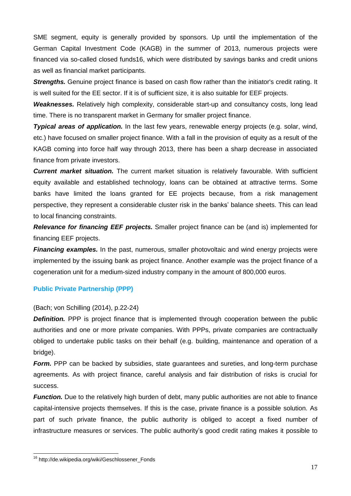SME segment, equity is generally provided by sponsors. Up until the implementation of the German Capital Investment Code (KAGB) in the summer of 2013, numerous projects were financed via so-called closed funds16, which were distributed by savings banks and credit unions as well as financial market participants.

**Strengths.** Genuine project finance is based on cash flow rather than the initiator's credit rating. It is well suited for the EE sector. If it is of sufficient size, it is also suitable for EEF projects.

*Weaknesses.* Relatively high complexity, considerable start-up and consultancy costs, long lead time. There is no transparent market in Germany for smaller project finance.

*Typical areas of application.* In the last few years, renewable energy projects (e.g. solar, wind, etc.) have focused on smaller project finance. With a fall in the provision of equity as a result of the KAGB coming into force half way through 2013, there has been a sharp decrease in associated finance from private investors.

*Current market situation.* The current market situation is relatively favourable. With sufficient equity available and established technology, loans can be obtained at attractive terms. Some banks have limited the loans granted for EE projects because, from a risk management perspective, they represent a considerable cluster risk in the banks' balance sheets. This can lead to local financing constraints.

*Relevance for financing EEF projects.* Smaller project finance can be (and is) implemented for financing EEF projects.

*Financing examples.* In the past, numerous, smaller photovoltaic and wind energy projects were implemented by the issuing bank as project finance. Another example was the project finance of a cogeneration unit for a medium-sized industry company in the amount of 800,000 euros.

## <span id="page-17-0"></span>**Public Private Partnership (PPP)**

## (Bach; von Schilling (2014), p.22-24)

**Definition.** PPP is project finance that is implemented through cooperation between the public authorities and one or more private companies. With PPPs, private companies are contractually obliged to undertake public tasks on their behalf (e.g. building, maintenance and operation of a bridge).

**Form.** PPP can be backed by subsidies, state quarantees and sureties, and long-term purchase agreements. As with project finance, careful analysis and fair distribution of risks is crucial for success.

*Function.* Due to the relatively high burden of debt, many public authorities are not able to finance capital-intensive projects themselves. If this is the case, private finance is a possible solution. As part of such private finance, the public authority is obliged to accept a fixed number of infrastructure measures or services. The public authority's good credit rating makes it possible to

-

<sup>&</sup>lt;sup>16</sup> http://de.wikipedia.org/wiki/Geschlossener\_Fonds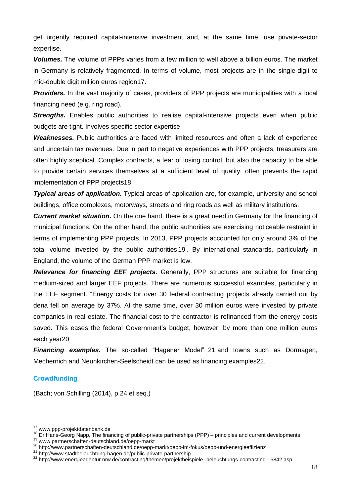get urgently required capital-intensive investment and, at the same time, use private-sector expertise.

*Volumes.* The volume of PPPs varies from a few million to well above a billion euros. The market in Germany is relatively fragmented. In terms of volume, most projects are in the single-digit to mid-double digit million euros region17.

**Providers.** In the vast majority of cases, providers of PPP projects are municipalities with a local financing need (e.g. ring road).

**Strengths.** Enables public authorities to realise capital-intensive projects even when public budgets are tight. Involves specific sector expertise.

*Weaknesses.* Public authorities are faced with limited resources and often a lack of experience and uncertain tax revenues. Due in part to negative experiences with PPP projects, treasurers are often highly sceptical. Complex contracts, a fear of losing control, but also the capacity to be able to provide certain services themselves at a sufficient level of quality, often prevents the rapid implementation of PPP projects18.

*Typical areas of application.* Typical areas of application are, for example, university and school buildings, office complexes, motorways, streets and ring roads as well as military institutions.

*Current market situation.* On the one hand, there is a great need in Germany for the financing of municipal functions. On the other hand, the public authorities are exercising noticeable restraint in terms of implementing PPP projects. In 2013, PPP projects accounted for only around 3% of the total volume invested by the public authorities 19 . By international standards, particularly in England, the volume of the German PPP market is low.

*Relevance for financing EEF projects.* Generally, PPP structures are suitable for financing medium-sized and larger EEF projects. There are numerous successful examples, particularly in the EEF segment. "Energy costs for over 30 federal contracting projects already carried out by dena fell on average by 37%. At the same time, over 30 million euros were invested by private companies in real estate. The financial cost to the contractor is refinanced from the energy costs saved. This eases the federal Government's budget, however, by more than one million euros each year20.

*Financing examples.* The so-called "Hagener Model" 21 and towns such as Dormagen, Mechernich and Neunkirchen-Seelscheidt can be used as financing examples22.

## <span id="page-18-0"></span>**Crowdfunding**

1

(Bach; von Schilling (2014), p.24 et seq.)

<sup>&</sup>lt;sup>17</sup> www.ppp-projektdatenbank.de

<sup>18</sup> Dr Hans-Georg Napp, The financing of public-private partnerships (PPP) – principles and current developments

<sup>19</sup> www.partnerschaften-deutschland.de/oepp-markt

<sup>&</sup>lt;sup>20</sup> http://www.partnerschaften-deutschland.de/oepp-markt/oepp-im-fokus/oepp-und-energieeffizienz

<sup>21</sup> http://www.stadtbeleuchtung-hagen.de/public-private-partnership

<sup>&</sup>lt;sup>22</sup> http://www.energieagentur.nrw.de/contracting/themen/projektbeispiele-.beleuchtungs-contracting-15842.asp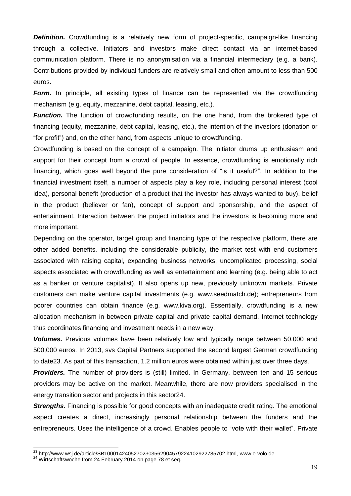**Definition.** Crowdfunding is a relatively new form of project-specific, campaign-like financing through a collective. Initiators and investors make direct contact via an internet-based communication platform. There is no anonymisation via a financial intermediary (e.g. a bank). Contributions provided by individual funders are relatively small and often amount to less than 500 euros.

**Form.** In principle, all existing types of finance can be represented via the crowdfunding mechanism (e.g. equity, mezzanine, debt capital, leasing, etc.).

*Function.* The function of crowdfunding results, on the one hand, from the brokered type of financing (equity, mezzanine, debt capital, leasing, etc.), the intention of the investors (donation or "for profit") and, on the other hand, from aspects unique to crowdfunding.

Crowdfunding is based on the concept of a campaign. The initiator drums up enthusiasm and support for their concept from a crowd of people. In essence, crowdfunding is emotionally rich financing, which goes well beyond the pure consideration of "is it useful?". In addition to the financial investment itself, a number of aspects play a key role, including personal interest (cool idea), personal benefit (production of a product that the investor has always wanted to buy), belief in the product (believer or fan), concept of support and sponsorship, and the aspect of entertainment. Interaction between the project initiators and the investors is becoming more and more important.

Depending on the operator, target group and financing type of the respective platform, there are other added benefits, including the considerable publicity, the market test with end customers associated with raising capital, expanding business networks, uncomplicated processing, social aspects associated with crowdfunding as well as entertainment and learning (e.g. being able to act as a banker or venture capitalist). It also opens up new, previously unknown markets. Private customers can make venture capital investments (e.g. www.seedmatch.de); entrepreneurs from poorer countries can obtain finance (e.g. www.kiva.org). Essentially, crowdfunding is a new allocation mechanism in between private capital and private capital demand. Internet technology thus coordinates financing and investment needs in a new way.

*Volumes.* Previous volumes have been relatively low and typically range between 50,000 and 500,000 euros. In 2013, svs Capital Partners supported the second largest German crowdfunding to date23. As part of this transaction, 1.2 million euros were obtained within just over three days.

**Providers.** The number of providers is (still) limited. In Germany, between ten and 15 serious providers may be active on the market. Meanwhile, there are now providers specialised in the energy transition sector and projects in this sector24.

**Strengths.** Financing is possible for good concepts with an inadequate credit rating. The emotional aspect creates a direct, increasingly personal relationship between the funders and the entrepreneurs. Uses the intelligence of a crowd. Enables people to "vote with their wallet". Private

-

 $^{23}$  http://www.wsj.de/article/SB10001424052702303562904579224102922785702.html, www.e-volo.de

<sup>&</sup>lt;sup>24</sup> Wirtschaftswoche from 24 February 2014 on page 78 et seq.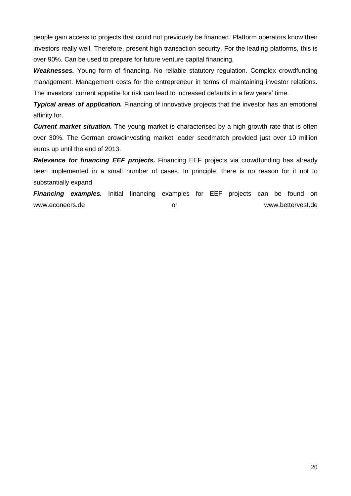people gain access to projects that could not previously be financed. Platform operators know their investors really well. Therefore, present high transaction security. For the leading platforms, this is over 90%. Can be used to prepare for future venture capital financing.

*Weaknesses.* Young form of financing. No reliable statutory regulation. Complex crowdfunding management. Management costs for the entrepreneur in terms of maintaining investor relations. The investors' current appetite for risk can lead to increased defaults in a few years' time.

*Typical areas of application.* Financing of innovative projects that the investor has an emotional affinity for.

*Current market situation.* The young market is characterised by a high growth rate that is often over 30%. The German crowdinvesting market leader seedmatch provided just over 10 million euros up until the end of 2013.

*Relevance for financing EEF projects.* Financing EEF projects via crowdfunding has already been implemented in a small number of cases. In principle, there is no reason for it not to substantially expand.

*Financing examples.* Initial financing examples for EEF projects can be found on www.econeers.de **or** or or [www.bettervest.de](http://www.bettervest.de/)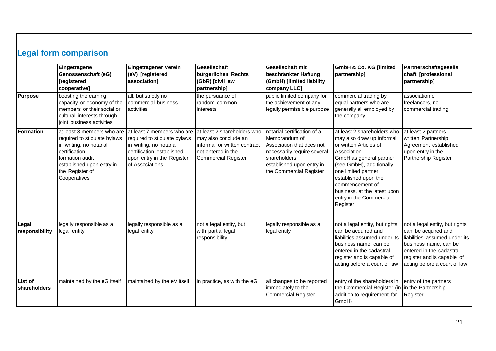<span id="page-21-0"></span>

|                         | <b>Legal form comparison</b>                                                                                                                                                              |                                                                                                                                                                     |                                                                                                                                         |                                                                                                                                                                                  |                                                                                                                                                                                                                                                                                                   |                                                                                                                                                                                                           |
|-------------------------|-------------------------------------------------------------------------------------------------------------------------------------------------------------------------------------------|---------------------------------------------------------------------------------------------------------------------------------------------------------------------|-----------------------------------------------------------------------------------------------------------------------------------------|----------------------------------------------------------------------------------------------------------------------------------------------------------------------------------|---------------------------------------------------------------------------------------------------------------------------------------------------------------------------------------------------------------------------------------------------------------------------------------------------|-----------------------------------------------------------------------------------------------------------------------------------------------------------------------------------------------------------|
|                         | Eingetragene<br>Genossenschaft (eG)<br>[registered<br>cooperative]                                                                                                                        | Eingetragener Verein<br>(eV) [registered<br>association]                                                                                                            | Gesellschaft<br>bürgerlichen Rechts<br>(GbR) [civil law<br>partnership]                                                                 | Gesellschaft mit<br>beschränkter Haftung<br>(GmbH) [limited liability<br>company LLC]                                                                                            | <b>GmbH &amp; Co. KG [limited</b><br>partnership]                                                                                                                                                                                                                                                 | <b>Partnerschaftsgesells</b><br>chaft [professional<br>partnership]                                                                                                                                       |
| <b>Purpose</b>          | boosting the earning<br>capacity or economy of the<br>members or their social or<br>cultural interests through<br>joint business activities                                               | all, but strictly no<br>commercial business<br>activities                                                                                                           | the pursuance of<br>random common<br>interests                                                                                          | public limited company for<br>the achievement of any<br>legally permissible purpose                                                                                              | commercial trading by<br>equal partners who are<br>generally all employed by<br>the company                                                                                                                                                                                                       | association of<br>freelancers, no<br>commercial trading                                                                                                                                                   |
| Formation               | at least 3 members who are<br>required to stipulate bylaws<br>in writing, no notarial<br>certification<br>formation audit<br>established upon entry in<br>the Register of<br>Cooperatives | at least 7 members who are<br>required to stipulate bylaws<br>in writing, no notarial<br>certification established<br>upon entry in the Register<br>of Associations | at least 2 shareholders who<br>may also conclude an<br>informal or written contract<br>not entered in the<br><b>Commercial Register</b> | notarial certification of a<br>Memorandum of<br>Association that does not<br>necessarily require several<br>shareholders<br>established upon entry in<br>the Commercial Register | at least 2 shareholders who<br>may also draw up informal<br>or written Articles of<br>Association<br>GmbH as general partner<br>(see GmbH), additionally<br>one limited partner<br>established upon the<br>commencement of<br>business, at the latest upon<br>entry in the Commercial<br>Register | at least 2 partners,<br>written Partnership<br>Agreement established<br>upon entry in the<br>Partnership Register                                                                                         |
| Legal<br>responsibility | legally responsible as a<br>legal entity                                                                                                                                                  | legally responsible as a<br>legal entity                                                                                                                            | not a legal entity, but<br>with partial legal<br>responsibility                                                                         | legally responsible as a<br>legal entity                                                                                                                                         | not a legal entity, but rights<br>can be acquired and<br>liabilities assumed under its<br>business name, can be<br>entered in the cadastral<br>register and is capable of<br>acting before a court of law                                                                                         | not a legal entity, but rights<br>can be acquired and<br>liabilities assumed under its<br>business name, can be<br>entered in the cadastral<br>register and is capable of<br>acting before a court of law |
| List of<br>shareholders | maintained by the eG itself                                                                                                                                                               | maintained by the eV itself                                                                                                                                         | in practice, as with the eG                                                                                                             | all changes to be reported<br>immediately to the<br><b>Commercial Register</b>                                                                                                   | entry of the shareholders in<br>the Commercial Register (in in the Partnership<br>addition to requirement for<br>GmbH)                                                                                                                                                                            | entry of the partners<br>Register                                                                                                                                                                         |

 $\mathbf{I}$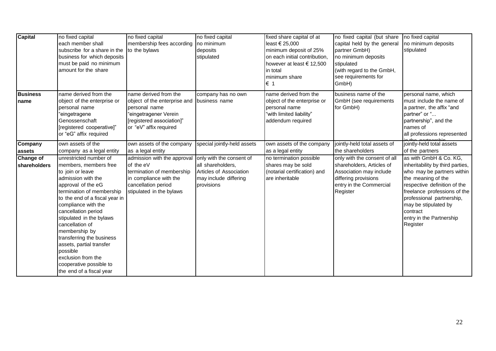| <b>Capital</b>                   | no fixed capital<br>each member shall<br>subscribe for a share in the<br>business for which deposits<br>must be paid no minimum<br>amount for the share                                                                                                                                                                                                                                                                                        | no fixed capital<br>membership fees according<br>to the bylaws                                                                                         | no fixed capital<br>no minimum<br>deposits<br>stipulated                                                        | fixed share capital of at<br>least € 25,000<br>minimum deposit of 25%<br>on each initial contribution,<br>however at least $\epsilon$ 12,500<br>in total<br>minimum share<br>€ 1 | no fixed capital (but share<br>capital held by the general<br>partner GmbH)<br>no minimum deposits<br>stipulated<br>(with regard to the GmbH,<br>see requirements for<br>GmbH) | no fixed capital<br>no minimum deposits<br>stipulated                                                                                                                                                                                                                                   |
|----------------------------------|------------------------------------------------------------------------------------------------------------------------------------------------------------------------------------------------------------------------------------------------------------------------------------------------------------------------------------------------------------------------------------------------------------------------------------------------|--------------------------------------------------------------------------------------------------------------------------------------------------------|-----------------------------------------------------------------------------------------------------------------|----------------------------------------------------------------------------------------------------------------------------------------------------------------------------------|--------------------------------------------------------------------------------------------------------------------------------------------------------------------------------|-----------------------------------------------------------------------------------------------------------------------------------------------------------------------------------------------------------------------------------------------------------------------------------------|
| <b>Business</b><br>name          | name derived from the<br>object of the enterprise or<br>personal name<br>"eingetragene<br>Genossenschaft<br>[registered cooperative]"<br>or "eG" affix required                                                                                                                                                                                                                                                                                | name derived from the<br>object of the enterprise and<br>personal name<br>eingetragener Verein"<br>[registered association]"<br>or "eV" affix required | company has no own<br>business name                                                                             | name derived from the<br>object of the enterprise or<br>personal name<br>"with limited liability"<br>addendum required                                                           | business name of the<br>GmbH (see requirements<br>for GmbH)                                                                                                                    | personal name, which<br>must include the name of<br>a partner, the affix "and<br>partner" or "<br>partnership", and the<br>names of<br>all professions represented                                                                                                                      |
| Company<br>assets                | own assets of the<br>company as a legal entity                                                                                                                                                                                                                                                                                                                                                                                                 | own assets of the company<br>as a legal entity                                                                                                         | special jointly-held assets                                                                                     | own assets of the company<br>as a legal entity                                                                                                                                   | jointly-held total assets of<br>the shareholders                                                                                                                               | jointly-held total assets<br>of the partners                                                                                                                                                                                                                                            |
| <b>Change of</b><br>shareholders | unrestricted number of<br>members, members free<br>to join or leave<br>admission with the<br>approval of the eG<br>termination of membership<br>to the end of a fiscal year in<br>compliance with the<br>cancellation period<br>stipulated in the bylaws<br>cancellation of<br>membership by<br>transferring the business<br>assets, partial transfer<br>possible<br>exclusion from the<br>cooperative possible to<br>the end of a fiscal year | admission with the approval<br>of the eV<br>termination of membership<br>in compliance with the<br>cancellation period<br>stipulated in the bylaws     | only with the consent of<br>all shareholders,<br>Articles of Association<br>may include differing<br>provisions | no termination possible<br>shares may be sold<br>(notarial certification) and<br>are inheritable                                                                                 | only with the consent of all<br>shareholders, Articles of<br>Association may include<br>differing provisions<br>entry in the Commercial<br>Register                            | as with GmbH & Co. KG,<br>inheritability by third parties,<br>who may be partners within<br>the meaning of the<br>respective definition of the<br>freelance professions of the<br>professional partnership,<br>may be stipulated by<br>contract<br>entry in the Partnership<br>Register |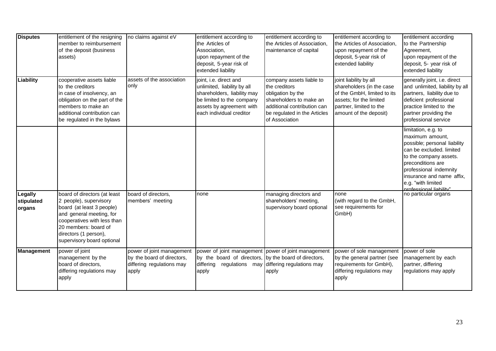| <b>Disputes</b>                 | entitlement of the resigning<br>member to reimbursement<br>of the deposit (business<br>assets)                                                                                                                                | no claims against eV                                                                          | entitlement according to<br>the Articles of<br>Association,<br>upon repayment of the<br>deposit, 5-year risk of<br>extended liability                                     | entitlement according to<br>the Articles of Association,<br>maintenance of capital                                                                                         | entitlement according to<br>the Articles of Association,<br>upon repayment of the<br>deposit, 5-year risk of<br>extended liability                                 | entitlement according<br>to the Partnership<br>Agreement,<br>upon repayment of the<br>deposit, 5- year risk of<br>extended liability                                                                                                                      |
|---------------------------------|-------------------------------------------------------------------------------------------------------------------------------------------------------------------------------------------------------------------------------|-----------------------------------------------------------------------------------------------|---------------------------------------------------------------------------------------------------------------------------------------------------------------------------|----------------------------------------------------------------------------------------------------------------------------------------------------------------------------|--------------------------------------------------------------------------------------------------------------------------------------------------------------------|-----------------------------------------------------------------------------------------------------------------------------------------------------------------------------------------------------------------------------------------------------------|
| Liability                       | cooperative assets liable<br>to the creditors<br>in case of insolvency, an<br>obligation on the part of the<br>members to make an<br>additional contribution can<br>be regulated in the bylaws                                | assets of the association<br>only                                                             | joint, i.e. direct and<br>unlimited, liability by all<br>shareholders, liability may<br>be limited to the company<br>assets by agreement with<br>each individual creditor | company assets liable to<br>the creditors<br>obligation by the<br>shareholders to make an<br>additional contribution can<br>be regulated in the Articles<br>of Association | joint liability by all<br>shareholders (in the case<br>of the GmbH, limited to its<br>assets; for the limited<br>partner, limited to the<br>amount of the deposit) | generally joint, i.e. direct<br>and unlimited, liability by all<br>partners, liability due to<br>deficient professional<br>practice limited to the<br>partner providing the<br>professional service                                                       |
|                                 |                                                                                                                                                                                                                               |                                                                                               |                                                                                                                                                                           |                                                                                                                                                                            |                                                                                                                                                                    | limitation, e.g. to<br>maximum amount,<br>possible; personal liability<br>can be excluded. limited<br>to the company assets.<br>preconditions are<br>professional indemnity<br>insurance and name affix,<br>e.g. "with limited<br>professional liability" |
| Legally<br>stipulated<br>organs | board of directors (at least<br>2 people), supervisory<br>board (at least 3 people)<br>and general meeting, for<br>cooperatives with less than<br>20 members: board of<br>directors (1 person),<br>supervisory board optional | board of directors,<br>members' meeting                                                       | none                                                                                                                                                                      | managing directors and<br>shareholders' meeting,<br>supervisory board optional                                                                                             | none<br>(with regard to the GmbH,<br>see requirements for<br>GmbH)                                                                                                 | no particular organs                                                                                                                                                                                                                                      |
| Management                      | power of joint<br>management by the<br>board of directors,<br>differing regulations may<br>apply                                                                                                                              | power of joint management<br>by the board of directors,<br>differing regulations may<br>apply | power of joint management power of joint management<br>by the board of directors,<br>differing regulations may<br>apply                                                   | by the board of directors,<br>differing regulations may<br>apply                                                                                                           | power of sole management<br>by the general partner (see<br>requirements for GmbH),<br>differing regulations may<br>apply                                           | power of sole<br>management by each<br>partner, differing<br>regulations may apply                                                                                                                                                                        |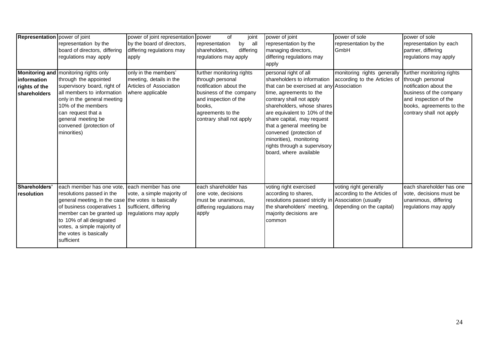| Representation   power of joint              | representation by the<br>board of directors, differing                                                                                                                                                                                                                     | power of joint representation power<br>by the board of directors,<br>differing regulations may      | οf<br>joint<br>representation<br>by<br>all<br>differing<br>shareholders,                                                                                                               | power of joint<br>representation by the<br>managing directors,                                                                                                                                                                                                                                                                                                                                   | power of sole<br>representation by the<br>GmbH                                      | power of sole<br>representation by each<br>partner, differing                                                                                                                       |
|----------------------------------------------|----------------------------------------------------------------------------------------------------------------------------------------------------------------------------------------------------------------------------------------------------------------------------|-----------------------------------------------------------------------------------------------------|----------------------------------------------------------------------------------------------------------------------------------------------------------------------------------------|--------------------------------------------------------------------------------------------------------------------------------------------------------------------------------------------------------------------------------------------------------------------------------------------------------------------------------------------------------------------------------------------------|-------------------------------------------------------------------------------------|-------------------------------------------------------------------------------------------------------------------------------------------------------------------------------------|
|                                              | regulations may apply                                                                                                                                                                                                                                                      | apply                                                                                               | regulations may apply                                                                                                                                                                  | differing regulations may<br>apply                                                                                                                                                                                                                                                                                                                                                               |                                                                                     | regulations may apply                                                                                                                                                               |
| information<br>rights of the<br>shareholders | Monitoring and   monitoring rights only<br>through the appointed<br>supervisory board, right of<br>all members to information<br>only in the general meeting<br>10% of the members<br>can request that a<br>general meeting be<br>convened (protection of<br>minorities)   | only in the members'<br>meeting, details in the<br>Articles of Association<br>where applicable      | further monitoring rights<br>through personal<br>notification about the<br>business of the company<br>and inspection of the<br>books.<br>agreements to the<br>contrary shall not apply | personal right of all<br>shareholders to information<br>that can be exercised at any Association<br>time, agreements to the<br>contrary shall not apply<br>shareholders, whose shares<br>are equivalent to 10% of the<br>share capital, may request<br>that a general meeting be<br>convened (protection of<br>minorities), monitoring<br>rights through a supervisory<br>board, where available | monitoring rights generally<br>according to the Articles of                         | further monitoring rights<br>through personal<br>notification about the<br>business of the company<br>and inspection of the<br>books, agreements to the<br>contrary shall not apply |
| Shareholders'<br>resolution                  | each member has one vote,<br>resolutions passed in the<br>general meeting, in the case the votes is basically<br>of business cooperatives 1<br>member can be granted up<br>to 10% of all designated<br>votes, a simple majority of<br>the votes is basically<br>sufficient | each member has one<br>vote, a simple majority of<br>sufficient, differing<br>regulations may apply | each shareholder has<br>one vote, decisions<br>must be unanimous,<br>differing regulations may<br>apply                                                                                | voting right exercised<br>according to shares,<br>resolutions passed strictly in Association (usually<br>the shareholders' meeting,<br>majority decisions are<br>common                                                                                                                                                                                                                          | voting right generally<br>according to the Articles of<br>depending on the capital) | each shareholder has one<br>vote, decisions must be<br>unanimous, differing<br>regulations may apply                                                                                |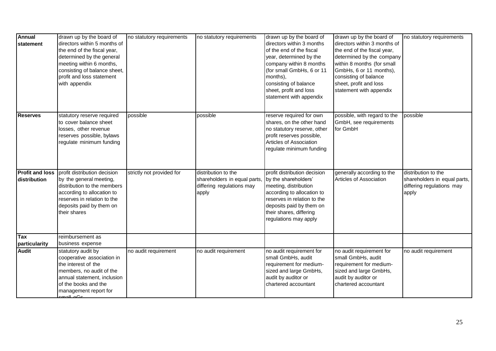| <b>Annual</b><br>statement             | drawn up by the board of<br>directors within 5 months of<br>the end of the fiscal year,<br>determined by the general<br>meeting within 6 months,<br>consisting of balance sheet,<br>profit and loss statement<br>with appendix | no statutory requirements | no statutory requirements                                                                 | drawn up by the board of<br>directors within 3 months<br>of the end of the fiscal<br>year, determined by the<br>company within 8 months<br>(for small GmbHs, 6 or 11<br>months),<br>consisting of balance<br>sheet, profit and loss<br>statement with appendix | drawn up by the board of<br>directors within 3 months of<br>the end of the fiscal year,<br>determined by the company<br>within 8 months (for small<br>GmbHs, 6 or 11 months),<br>consisting of balance<br>sheet, profit and loss<br>statement with appendix | no statutory requirements                                                                 |
|----------------------------------------|--------------------------------------------------------------------------------------------------------------------------------------------------------------------------------------------------------------------------------|---------------------------|-------------------------------------------------------------------------------------------|----------------------------------------------------------------------------------------------------------------------------------------------------------------------------------------------------------------------------------------------------------------|-------------------------------------------------------------------------------------------------------------------------------------------------------------------------------------------------------------------------------------------------------------|-------------------------------------------------------------------------------------------|
| <b>Reserves</b>                        | statutory reserve required<br>to cover balance sheet<br>losses, other revenue<br>reserves possible, bylaws<br>regulate minimum funding                                                                                         | possible                  | possible                                                                                  | reserve required for own<br>shares, on the other hand<br>no statutory reserve, other<br>profit reserves possible,<br>Articles of Association<br>regulate minimum funding                                                                                       | possible, with regard to the<br>GmbH, see requirements<br>for GmbH                                                                                                                                                                                          | possible                                                                                  |
| <b>Profit and loss</b><br>distribution | profit distribution decision<br>by the general meeting,<br>distribution to the members<br>according to allocation to<br>reserves in relation to the<br>deposits paid by them on<br>their shares                                | strictly not provided for | distribution to the<br>shareholders in equal parts,<br>differing regulations may<br>apply | profit distribution decision<br>by the shareholders'<br>meeting, distribution<br>according to allocation to<br>reserves in relation to the<br>deposits paid by them on<br>their shares, differing<br>regulations may apply                                     | generally according to the<br>Articles of Association                                                                                                                                                                                                       | distribution to the<br>shareholders in equal parts,<br>differing regulations may<br>apply |
| <b>Tax</b><br>particularity            | reimbursement as<br>business expense                                                                                                                                                                                           |                           |                                                                                           |                                                                                                                                                                                                                                                                |                                                                                                                                                                                                                                                             |                                                                                           |
| <b>Audit</b>                           | statutory audit by<br>cooperative association in<br>the interest of the<br>members, no audit of the<br>annual statement, inclusion<br>of the books and the<br>management report for                                            | no audit requirement      | no audit requirement                                                                      | no audit requirement for<br>small GmbHs, audit<br>requirement for medium-<br>sized and large GmbHs,<br>audit by auditor or<br>chartered accountant                                                                                                             | no audit requirement for<br>small GmbHs, audit<br>requirement for medium-<br>sized and large GmbHs,<br>audit by auditor or<br>chartered accountant                                                                                                          | no audit requirement                                                                      |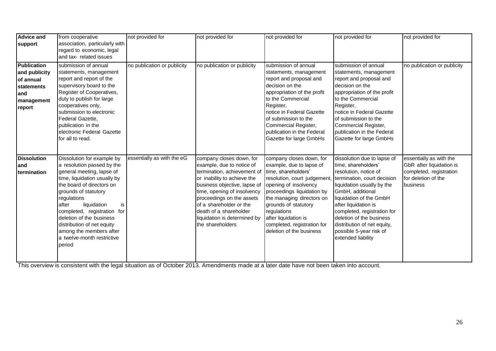| <b>Advice and</b>  | from cooperative               | not provided for            | not provided for             | not provided for             | not provided for            | not provided for            |
|--------------------|--------------------------------|-----------------------------|------------------------------|------------------------------|-----------------------------|-----------------------------|
| support            | association, particularly with |                             |                              |                              |                             |                             |
|                    | regard to economic, legal      |                             |                              |                              |                             |                             |
|                    | and tax- related issues        |                             |                              |                              |                             |                             |
| <b>Publication</b> | submission of annual           | no publication or publicity | no publication or publicity  | submission of annual         | submission of annual        | no publication or publicity |
| and publicity      | statements, management         |                             |                              | statements, management       | statements, management      |                             |
| of annual          | report and report of the       |                             |                              | report and proposal and      | report and proposal and     |                             |
| statements         | supervisory board to the       |                             |                              | decision on the              | decision on the             |                             |
| land               | Register of Cooperatives,      |                             |                              | appropriation of the profit  | appropriation of the profit |                             |
| management         | duty to publish for large      |                             |                              | to the Commercial            | to the Commercial           |                             |
| report             | cooperatives only,             |                             |                              | Register,                    | Register,                   |                             |
|                    | submission to electronic       |                             |                              | notice in Federal Gazette    | notice in Federal Gazette   |                             |
|                    | Federal Gazette,               |                             |                              | of submission to the         | of submission to the        |                             |
|                    | publication in the             |                             |                              | Commercial Register,         | Commercial Register,        |                             |
|                    | electronic Federal Gazette     |                             |                              | publication in the Federal   | publication in the Federal  |                             |
|                    | for all to read.               |                             |                              | Gazette for large GmbHs      | Gazette for large GmbHs     |                             |
|                    |                                |                             |                              |                              |                             |                             |
| <b>Dissolution</b> | Dissolution for example by     | essentially as with the eG  | company closes down, for     | company closes down, for     | dissolution due to lapse of | essentially as with the     |
| land               | a resolution passed by the     |                             | example, due to notice of    | example, due to lapse of     | time, shareholders'         | GbR after liquidation is    |
| termination        | general meeting, lapse of      |                             | termination, achievement of  | time, shareholders'          | resolution, notice of       | completed, registration     |
|                    | time, liquidation usually by   |                             | or inability to achieve the  | resolution, court judgement, | termination, court decision | for deletion of the         |
|                    | the board of directors on      |                             | business objective, lapse of | opening of insolvency        | liquidation usually by the  | business                    |
|                    | grounds of statutory           |                             | time, opening of insolvency  | proceedings liquidation by   | GmbH, additional            |                             |
|                    | regulations                    |                             | proceedings on the assets    | the managing directors on    | liquidation of the GmbH     |                             |
|                    | liquidation<br>after<br>is     |                             | of a shareholder or the      | grounds of statutory         | after liquidation is        |                             |
|                    | completed, registration for    |                             | death of a shareholder       | regulations                  | completed, registration for |                             |
|                    | deletion of the business       |                             | liquidation is determined by | after liquidation is         | deletion of the business    |                             |
|                    | distribution of net equity     |                             | the shareholders             | completed, registration for  | distribution of net equity, |                             |
|                    | among the members after        |                             |                              | deletion of the business     | possible 5-year risk of     |                             |
|                    | a twelve-month restrictive     |                             |                              |                              | extended liability          |                             |
|                    | period                         |                             |                              |                              |                             |                             |
|                    |                                |                             |                              |                              |                             |                             |
|                    |                                |                             |                              |                              |                             |                             |

This overview is consistent with the legal situation as of October 2013. Amendments made at a later date have not been taken into account.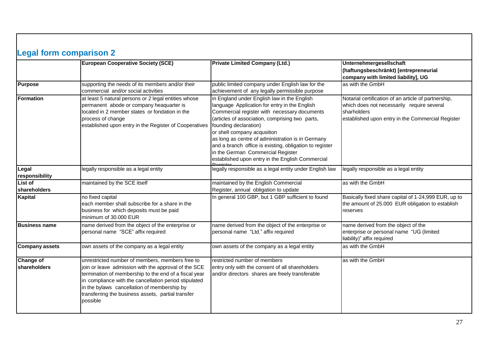<span id="page-27-0"></span>

|                                  | <b>European Cooperative Society (SCE)</b>                                                                                                                                                                                                                                                                                                  | <b>Private Limited Company (Ltd.)</b>                                                                                                                                                                                                                                                                                                                                                                                                                            | Unternehmergesellschaft                                                                                                                                                |
|----------------------------------|--------------------------------------------------------------------------------------------------------------------------------------------------------------------------------------------------------------------------------------------------------------------------------------------------------------------------------------------|------------------------------------------------------------------------------------------------------------------------------------------------------------------------------------------------------------------------------------------------------------------------------------------------------------------------------------------------------------------------------------------------------------------------------------------------------------------|------------------------------------------------------------------------------------------------------------------------------------------------------------------------|
|                                  |                                                                                                                                                                                                                                                                                                                                            |                                                                                                                                                                                                                                                                                                                                                                                                                                                                  | (haftungsbeschränkt) [entrepreneurial<br>company with limited liability], UG                                                                                           |
| <b>Purpose</b>                   | supporting the needs of its members and/or their<br>commercial and/or social activities                                                                                                                                                                                                                                                    | public limited company under English law for the<br>achievement of any legally permissible purpose                                                                                                                                                                                                                                                                                                                                                               | as with the GmbH                                                                                                                                                       |
| Formation                        | at least 5 natural persons or 2 legal entities whose<br>permanent abode or company heaquarter is<br>located in 2 member states or fondation in the<br>process of change<br>established upon entry in the Register of Cooperatives                                                                                                          | in England under English law in the English<br>language Application for entry in the English<br>Commercial register with necessary documents<br>(articles of association, comprising two parts,<br>founding declaration)<br>or shell company acqusition<br>as long as centre of administration is in Germany<br>and a branch office is existing, obligation to register<br>in the German Commercial Register<br>established upon entry in the English Commercial | Notarial certification of an article of partnership,<br>which does not necessarily require several<br>sharholders<br>established upon entry in the Commercial Register |
| Legal<br>responsibility          | legally responsible as a legal entity                                                                                                                                                                                                                                                                                                      | legally responsible as a legal entity under English law                                                                                                                                                                                                                                                                                                                                                                                                          | legally responsible as a legal entity                                                                                                                                  |
| List of<br><b>shareholders</b>   | maintained by the SCE itself                                                                                                                                                                                                                                                                                                               | maintained by the English Commercial<br>Register, annual obligation to update                                                                                                                                                                                                                                                                                                                                                                                    | as with the GmbH                                                                                                                                                       |
| Kapital                          | no fixed capital<br>each member shall subscribe for a share in the<br>business for which deposits must be paid<br>minimum of 30.000 EUR                                                                                                                                                                                                    | In general 100 GBP, but 1 GBP sufficient to found                                                                                                                                                                                                                                                                                                                                                                                                                | Basically fixed share capital of 1-24,999 EUR, up to<br>the amount of 25.000 EUR obligation to establish<br>reserves                                                   |
| <b>Business name</b>             | name derived from the object of the enterprise or<br>personal name "SCE" affix required                                                                                                                                                                                                                                                    | name derived from the object of the enterprise or<br>personal name "Ltd." affix required                                                                                                                                                                                                                                                                                                                                                                         | name derived from the object of the<br>enterprise or personal name "UG (limited<br>liability)" affix required                                                          |
| <b>Company assets</b>            | own assets of the company as a legal entity                                                                                                                                                                                                                                                                                                | own assets of the company as a legal entity                                                                                                                                                                                                                                                                                                                                                                                                                      | as with the GmbH                                                                                                                                                       |
| <b>Change of</b><br>shareholders | unrestricted number of members, members free to<br>join or leave admission with the approval of the SCE<br>termination of membership to the end of a fiscal year<br>in compliance with the cancellation period stipulated<br>in the bylaws cancellation of membership by<br>transferring the business assets, partial transfer<br>possible | restricted number of members<br>entry only with the consent of all shareholders<br>and/or directors shares are freely transferable                                                                                                                                                                                                                                                                                                                               | as with the GmbH                                                                                                                                                       |

 $\mathbf{I}$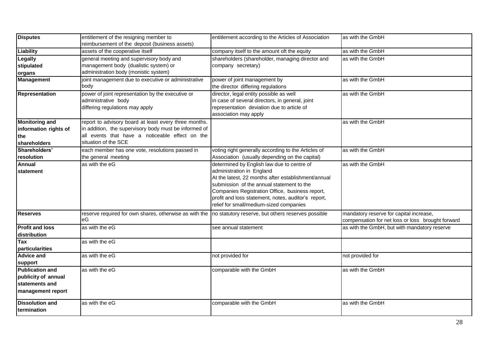| <b>Disputes</b>                                                                      | entitlement of the resigning member to<br>reimbursement of the deposit (business assets)                                                                                                  | entitlement according to the Articles of Association                                                                                                                                                                                                                                                                             | as with the GmbH                                                                             |
|--------------------------------------------------------------------------------------|-------------------------------------------------------------------------------------------------------------------------------------------------------------------------------------------|----------------------------------------------------------------------------------------------------------------------------------------------------------------------------------------------------------------------------------------------------------------------------------------------------------------------------------|----------------------------------------------------------------------------------------------|
| Liability                                                                            | assets of the cooperative itself                                                                                                                                                          | company itself to the amount oft the equity                                                                                                                                                                                                                                                                                      | as with the GmbH                                                                             |
| Legally<br>stipulated<br>organs                                                      | general meeting and supervisory body and<br>management body (dualistic system) or<br>administration body (monistic system)                                                                | shareholders (shareholder, managing director and<br>company secretary)                                                                                                                                                                                                                                                           | as with the GmbH                                                                             |
| <b>Management</b>                                                                    | joint management due to executive or administrative<br>body                                                                                                                               | power of joint management by<br>the director differing regulations                                                                                                                                                                                                                                                               | as with the GmbH                                                                             |
| Representation                                                                       | power of joint representation by the executive or<br>administrative body<br>differing regulations may apply                                                                               | director, legal entity possible as well<br>in case of several directors, in general, joint<br>representation deviation due to article of<br>association may apply                                                                                                                                                                | as with the GmbH                                                                             |
| <b>Monitoring and</b><br>information rights of<br>the<br>shareholders                | report to advisory board at least every three months.<br>in addition, the supervisory body must be informed of<br>all events that have a noticeable effect on the<br>situation of the SCE |                                                                                                                                                                                                                                                                                                                                  | as with the GmbH                                                                             |
| Shareholders'<br>resolution                                                          | each member has one vote, resolutions passed in<br>the general meeting                                                                                                                    | voting right generally according to the Articles of<br>Association (usually depending on the capital)                                                                                                                                                                                                                            | as with the GmbH                                                                             |
| <b>Annual</b><br>statement                                                           | as with the eG                                                                                                                                                                            | determined by English law due to centre of<br>administration in England<br>At the latest, 22 months after establishment/annual<br>submission of the annual statement to the<br>Companies Registration Office, business report,<br>profit and loss statement, notes, auditor's report,<br>relief for small/medium-sized companies | as with the GmbH                                                                             |
| <b>Reserves</b>                                                                      | reserve required for own shares, otherwise as with the no statutory reserve, but others reserves possible<br>еG                                                                           |                                                                                                                                                                                                                                                                                                                                  | mandatory reserve for capital increase,<br>compensation for net loss or loss brought forward |
| <b>Profit and loss</b><br>distribution                                               | as with the eG                                                                                                                                                                            | see annual statement                                                                                                                                                                                                                                                                                                             | as with the GmbH, but with mandatory reserve                                                 |
| Tax<br><b>particularities</b>                                                        | as with the eG                                                                                                                                                                            |                                                                                                                                                                                                                                                                                                                                  |                                                                                              |
| <b>Advice and</b><br>support                                                         | as with the eG                                                                                                                                                                            | not provided for                                                                                                                                                                                                                                                                                                                 | not provided for                                                                             |
| <b>Publication and</b><br>publicity of annual<br>statements and<br>management report | as with the eG                                                                                                                                                                            | comparable with the GmbH                                                                                                                                                                                                                                                                                                         | as with the GmbH                                                                             |
| <b>Dissolution and</b><br>termination                                                | as with the eG                                                                                                                                                                            | comparable with the GmbH                                                                                                                                                                                                                                                                                                         | as with the GmbH                                                                             |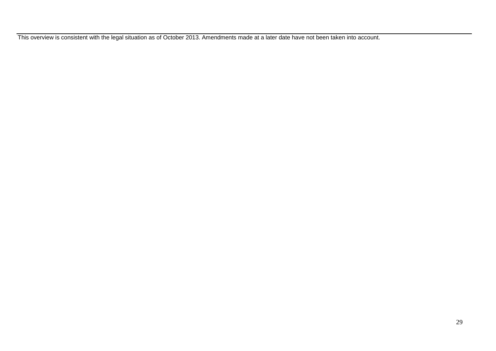This overview is consistent with the legal situation as of October 2013. Amendments made at a later date have not been taken into account.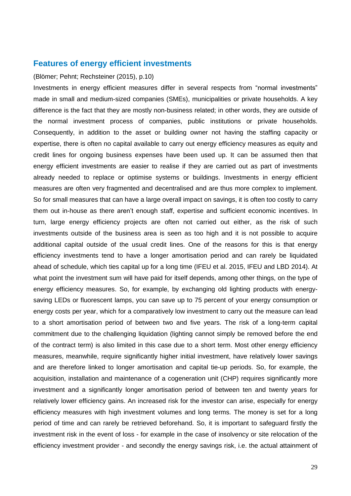# <span id="page-30-0"></span>**Features of energy efficient investments**

## (Blömer; Pehnt; Rechsteiner (2015), p.10)

Investments in energy efficient measures differ in several respects from "normal investments" made in small and medium-sized companies (SMEs), municipalities or private households. A key difference is the fact that they are mostly non-business related; in other words, they are outside of the normal investment process of companies, public institutions or private households. Consequently, in addition to the asset or building owner not having the staffing capacity or expertise, there is often no capital available to carry out energy efficiency measures as equity and credit lines for ongoing business expenses have been used up. It can be assumed then that energy efficient investments are easier to realise if they are carried out as part of investments already needed to replace or optimise systems or buildings. Investments in energy efficient measures are often very fragmented and decentralised and are thus more complex to implement. So for small measures that can have a large overall impact on savings, it is often too costly to carry them out in-house as there aren't enough staff, expertise and sufficient economic incentives. In turn, large energy efficiency projects are often not carried out either, as the risk of such investments outside of the business area is seen as too high and it is not possible to acquire additional capital outside of the usual credit lines. One of the reasons for this is that energy efficiency investments tend to have a longer amortisation period and can rarely be liquidated ahead of schedule, which ties capital up for a long time (IFEU et al. 2015, IFEU and LBD 2014). At what point the investment sum will have paid for itself depends, among other things, on the type of energy efficiency measures. So, for example, by exchanging old lighting products with energysaving LEDs or fluorescent lamps, you can save up to 75 percent of your energy consumption or energy costs per year, which for a comparatively low investment to carry out the measure can lead to a short amortisation period of between two and five years. The risk of a long-term capital commitment due to the challenging liquidation (lighting cannot simply be removed before the end of the contract term) is also limited in this case due to a short term. Most other energy efficiency measures, meanwhile, require significantly higher initial investment, have relatively lower savings and are therefore linked to longer amortisation and capital tie-up periods. So, for example, the acquisition, installation and maintenance of a cogeneration unit (CHP) requires significantly more investment and a significantly longer amortisation period of between ten and twenty years for relatively lower efficiency gains. An increased risk for the investor can arise, especially for energy efficiency measures with high investment volumes and long terms. The money is set for a long period of time and can rarely be retrieved beforehand. So, it is important to safeguard firstly the investment risk in the event of loss - for example in the case of insolvency or site relocation of the efficiency investment provider - and secondly the energy savings risk, i.e. the actual attainment of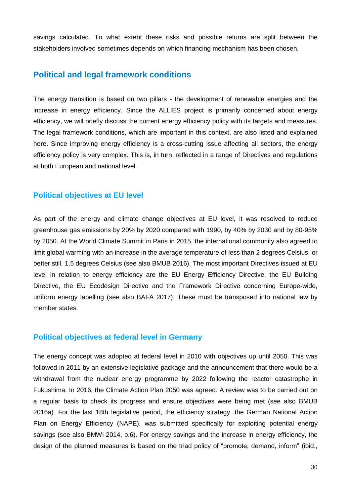savings calculated. To what extent these risks and possible returns are split between the stakeholders involved sometimes depends on which financing mechanism has been chosen.

# <span id="page-31-0"></span>**Political and legal framework conditions**

The energy transition is based on two pillars - the development of renewable energies and the increase in energy efficiency. Since the ALLIES project is primarily concerned about energy efficiency, we will briefly discuss the current energy efficiency policy with its targets and measures. The legal framework conditions, which are important in this context, are also listed and explained here. Since improving energy efficiency is a cross-cutting issue affecting all sectors, the energy efficiency policy is very complex. This is, in turn, reflected in a range of Directives and regulations at both European and national level.

## <span id="page-31-1"></span>**Political objectives at EU level**

As part of the energy and climate change objectives at EU level, it was resolved to reduce greenhouse gas emissions by 20% by 2020 compared with 1990, by 40% by 2030 and by 80-95% by 2050. At the World Climate Summit in Paris in 2015, the international community also agreed to limit global warming with an increase in the average temperature of less than 2 degrees Celsius, or better still, 1.5 degrees Celsius (see also BMUB 2016). The most important Directives issued at EU level in relation to energy efficiency are the EU Energy Efficiency Directive, the EU Building Directive, the EU Ecodesign Directive and the Framework Directive concerning Europe-wide, uniform energy labelling (see also BAFA 2017). These must be transposed into national law by member states.

## <span id="page-31-2"></span>**Political objectives at federal level in Germany**

The energy concept was adopted at federal level in 2010 with objectives up until 2050. This was followed in 2011 by an extensive legislative package and the announcement that there would be a withdrawal from the nuclear energy programme by 2022 following the reactor catastrophe in Fukushima. In 2016, the Climate Action Plan 2050 was agreed. A review was to be carried out on a regular basis to check its progress and ensure objectives were being met (see also BMUB 2016a). For the last 18th legislative period, the efficiency strategy, the German National Action Plan on Energy Efficiency (NAPE), was submitted specifically for exploiting potential energy savings (see also BMWi 2014, p.6). For energy savings and the increase in energy efficiency, the design of the planned measures is based on the triad policy of "promote, demand, inform" (ibid.,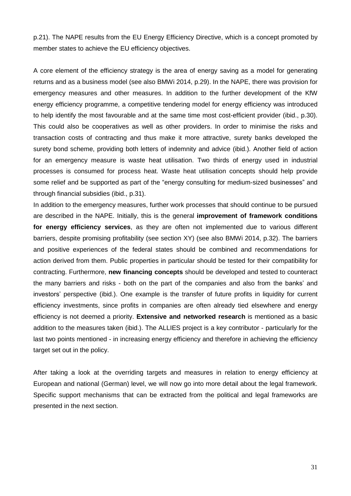p.21). The NAPE results from the EU Energy Efficiency Directive, which is a concept promoted by member states to achieve the EU efficiency objectives.

A core element of the efficiency strategy is the area of energy saving as a model for generating returns and as a business model (see also BMWi 2014, p.29). In the NAPE, there was provision for emergency measures and other measures. In addition to the further development of the KfW energy efficiency programme, a competitive tendering model for energy efficiency was introduced to help identify the most favourable and at the same time most cost-efficient provider (ibid., p.30). This could also be cooperatives as well as other providers. In order to minimise the risks and transaction costs of contracting and thus make it more attractive, surety banks developed the surety bond scheme, providing both letters of indemnity and advice (ibid.). Another field of action for an emergency measure is waste heat utilisation. Two thirds of energy used in industrial processes is consumed for process heat. Waste heat utilisation concepts should help provide some relief and be supported as part of the "energy consulting for medium-sized businesses" and through financial subsidies (ibid., p.31).

In addition to the emergency measures, further work processes that should continue to be pursued are described in the NAPE. Initially, this is the general **improvement of framework conditions for energy efficiency services**, as they are often not implemented due to various different barriers, despite promising profitability (see section XY) (see also BMWi 2014, p.32). The barriers and positive experiences of the federal states should be combined and recommendations for action derived from them. Public properties in particular should be tested for their compatibility for contracting. Furthermore, **new financing concepts** should be developed and tested to counteract the many barriers and risks - both on the part of the companies and also from the banks' and investors' perspective (ibid.). One example is the transfer of future profits in liquidity for current efficiency investments, since profits in companies are often already tied elsewhere and energy efficiency is not deemed a priority. **Extensive and networked research** is mentioned as a basic addition to the measures taken (ibid.). The ALLIES project is a key contributor - particularly for the last two points mentioned - in increasing energy efficiency and therefore in achieving the efficiency target set out in the policy.

After taking a look at the overriding targets and measures in relation to energy efficiency at European and national (German) level, we will now go into more detail about the legal framework. Specific support mechanisms that can be extracted from the political and legal frameworks are presented in the next section.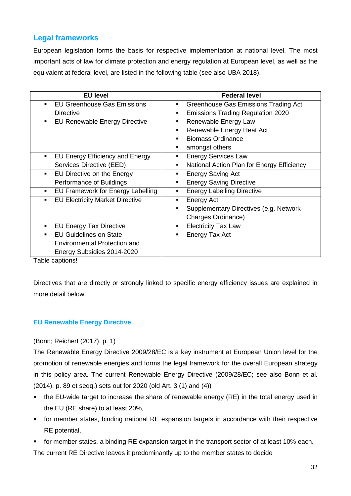# <span id="page-33-0"></span>**Legal frameworks**

European legislation forms the basis for respective implementation at national level. The most important acts of law for climate protection and energy regulation at European level, as well as the equivalent at federal level, are listed in the following table (see also UBA 2018).

| <b>EU level</b>                                      | <b>Federal level</b>                                   |
|------------------------------------------------------|--------------------------------------------------------|
| <b>EU Greenhouse Gas Emissions</b><br>$\blacksquare$ | Greenhouse Gas Emissions Trading Act<br>$\blacksquare$ |
| Directive                                            | <b>Emissions Trading Regulation 2020</b>               |
| <b>EU Renewable Energy Directive</b><br>٠            | Renewable Energy Law<br>٠                              |
|                                                      | Renewable Energy Heat Act                              |
|                                                      | <b>Biomass Ordinance</b>                               |
|                                                      | amongst others                                         |
| EU Energy Efficiency and Energy<br>$\blacksquare$    | <b>Energy Services Law</b>                             |
| Services Directive (EED)                             | National Action Plan for Energy Efficiency<br>٠        |
| EU Directive on the Energy<br>$\blacksquare$         | <b>Energy Saving Act</b>                               |
| Performance of Buildings                             | <b>Energy Saving Directive</b>                         |
| EU Framework for Energy Labelling<br>٠               | <b>Energy Labelling Directive</b><br>٠                 |
| <b>EU Electricity Market Directive</b><br>٠          | Energy Act<br>٠                                        |
|                                                      | Supplementary Directives (e.g. Network                 |
|                                                      | Charges Ordinance)                                     |
| <b>EU Energy Tax Directive</b><br>٠                  | <b>Electricity Tax Law</b><br>٠                        |
| <b>EU Guidelines on State</b><br>$\blacksquare$      | Energy Tax Act                                         |
| Environmental Protection and                         |                                                        |
| Energy Subsidies 2014-2020                           |                                                        |

Table captions!

Directives that are directly or strongly linked to specific energy efficiency issues are explained in more detail below.

# <span id="page-33-1"></span>**EU Renewable Energy Directive**

(Bonn; Reichert (2017), p. 1)

The Renewable Energy Directive 2009/28/EC is a key instrument at European Union level for the promotion of renewable energies and forms the legal framework for the overall European strategy in this policy area. The current Renewable Energy Directive (2009/28/EC; see also Bonn et al. (2014), p. 89 et seqq.) sets out for 2020 (old Art. 3 (1) and (4))

- the EU-wide target to increase the share of renewable energy (RE) in the total energy used in the EU (RE share) to at least 20%,
- for member states, binding national RE expansion targets in accordance with their respective RE potential,

 for member states, a binding RE expansion target in the transport sector of at least 10% each. The current RE Directive leaves it predominantly up to the member states to decide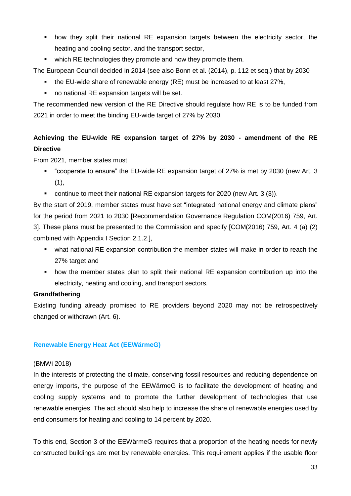- how they split their national RE expansion targets between the electricity sector, the heating and cooling sector, and the transport sector,
- which RE technologies they promote and how they promote them.

The European Council decided in 2014 (see also Bonn et al. (2014), p. 112 et seq.) that by 2030

- the EU-wide share of renewable energy (RE) must be increased to at least 27%,
- no national RE expansion targets will be set.

The recommended new version of the RE Directive should regulate how RE is to be funded from 2021 in order to meet the binding EU-wide target of 27% by 2030.

# **Achieving the EU-wide RE expansion target of 27% by 2030 - amendment of the RE Directive**

From 2021, member states must

- "cooperate to ensure" the EU-wide RE expansion target of 27% is met by 2030 (new Art. 3  $(1),$
- continue to meet their national RE expansion targets for 2020 (new Art. 3 (3)).

By the start of 2019, member states must have set "integrated national energy and climate plans" for the period from 2021 to 2030 [Recommendation Governance Regulation COM(2016) 759, Art. 3]. These plans must be presented to the Commission and specify [COM(2016) 759, Art. 4 (a) (2) combined with Appendix I Section 2.1.2.],

- what national RE expansion contribution the member states will make in order to reach the 27% target and
- how the member states plan to split their national RE expansion contribution up into the electricity, heating and cooling, and transport sectors.

## **Grandfathering**

Existing funding already promised to RE providers beyond 2020 may not be retrospectively changed or withdrawn (Art. 6).

# <span id="page-34-0"></span>**Renewable Energy Heat Act (EEWärmeG)**

## (BMWi 2018)

In the interests of protecting the climate, conserving fossil resources and reducing dependence on energy imports, the purpose of the EEWärmeG is to facilitate the development of heating and cooling supply systems and to promote the further development of technologies that use renewable energies. The act should also help to increase the share of renewable energies used by end consumers for heating and cooling to 14 percent by 2020.

To this end, Section 3 of the EEWärmeG requires that a proportion of the heating needs for newly constructed buildings are met by renewable energies. This requirement applies if the usable floor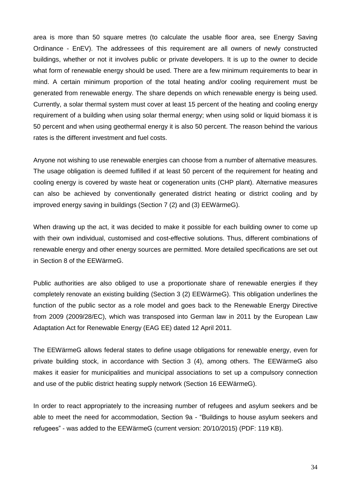area is more than 50 square metres (to calculate the usable floor area, see Energy Saving Ordinance - EnEV). The addressees of this requirement are all owners of newly constructed buildings, whether or not it involves public or private developers. It is up to the owner to decide what form of renewable energy should be used. There are a few minimum requirements to bear in mind. A certain minimum proportion of the total heating and/or cooling requirement must be generated from renewable energy. The share depends on which renewable energy is being used. Currently, a solar thermal system must cover at least 15 percent of the heating and cooling energy requirement of a building when using solar thermal energy; when using solid or liquid biomass it is 50 percent and when using geothermal energy it is also 50 percent. The reason behind the various rates is the different investment and fuel costs.

Anyone not wishing to use renewable energies can choose from a number of alternative measures. The usage obligation is deemed fulfilled if at least 50 percent of the requirement for heating and cooling energy is covered by waste heat or cogeneration units (CHP plant). Alternative measures can also be achieved by conventionally generated district heating or district cooling and by improved energy saving in buildings (Section 7 (2) and (3) EEWärmeG).

When drawing up the act, it was decided to make it possible for each building owner to come up with their own individual, customised and cost-effective solutions. Thus, different combinations of renewable energy and other energy sources are permitted. More detailed specifications are set out in Section 8 of the EEWärmeG.

Public authorities are also obliged to use a proportionate share of renewable energies if they completely renovate an existing building (Section 3 (2) EEWärmeG). This obligation underlines the function of the public sector as a role model and goes back to the Renewable Energy Directive from 2009 (2009/28/EC), which was transposed into German law in 2011 by the European Law Adaptation Act for Renewable Energy (EAG EE) dated 12 April 2011.

The EEWärmeG allows federal states to define usage obligations for renewable energy, even for private building stock, in accordance with Section 3 (4), among others. The EEWärmeG also makes it easier for municipalities and municipal associations to set up a compulsory connection and use of the public district heating supply network (Section 16 EEWärmeG).

In order to react appropriately to the increasing number of refugees and asylum seekers and be able to meet the need for accommodation, Section 9a - "Buildings to house asylum seekers and refugees" - was added to the EEWärmeG (current version: 20/10/2015) (PDF: 119 KB).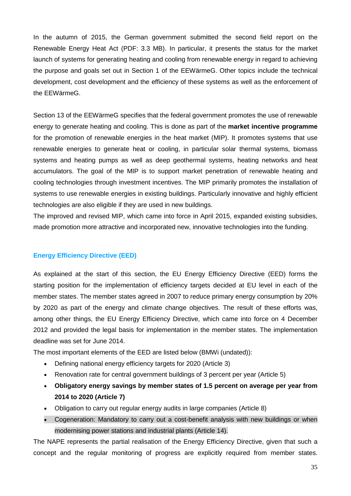In the autumn of 2015, the German government submitted the second field report on the Renewable Energy Heat Act (PDF: 3.3 MB). In particular, it presents the status for the market launch of systems for generating heating and cooling from renewable energy in regard to achieving the purpose and goals set out in Section 1 of the EEWärmeG. Other topics include the technical development, cost development and the efficiency of these systems as well as the enforcement of the EEWärmeG.

Section 13 of the EEWärmeG specifies that the federal government promotes the use of renewable energy to generate heating and cooling. This is done as part of the **market incentive programme** for the promotion of renewable energies in the heat market (MIP). It promotes systems that use renewable energies to generate heat or cooling, in particular solar thermal systems, biomass systems and heating pumps as well as deep geothermal systems, heating networks and heat accumulators. The goal of the MIP is to support market penetration of renewable heating and cooling technologies through investment incentives. The MIP primarily promotes the installation of systems to use renewable energies in existing buildings. Particularly innovative and highly efficient technologies are also eligible if they are used in new buildings.

The improved and revised MIP, which came into force in April 2015, expanded existing subsidies, made promotion more attractive and incorporated new, innovative technologies into the funding.

## <span id="page-36-0"></span>**Energy Efficiency Directive (EED)**

As explained at the start of this section, the EU Energy Efficiency Directive (EED) forms the starting position for the implementation of efficiency targets decided at EU level in each of the member states. The member states agreed in 2007 to reduce primary energy consumption by 20% by 2020 as part of the energy and climate change objectives. The result of these efforts was, among other things, the EU Energy Efficiency Directive, which came into force on 4 December 2012 and provided the legal basis for implementation in the member states. The implementation deadline was set for June 2014.

The most important elements of the EED are listed below (BMWi (undated)):

- Defining national energy efficiency targets for 2020 (Article 3)
- Renovation rate for central government buildings of 3 percent per year (Article 5)
- **Obligatory energy savings by member states of 1.5 percent on average per year from 2014 to 2020 (Article 7)**
- Obligation to carry out regular energy audits in large companies (Article 8)
- Cogeneration: Mandatory to carry out a cost-benefit analysis with new buildings or when modernising power stations and industrial plants (Article 14).

The NAPE represents the partial realisation of the Energy Efficiency Directive, given that such a concept and the regular monitoring of progress are explicitly required from member states.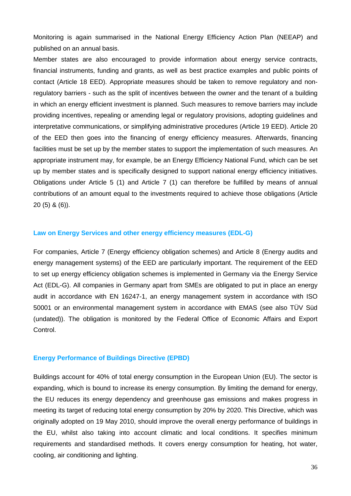Monitoring is again summarised in the National Energy Efficiency Action Plan (NEEAP) and published on an annual basis.

Member states are also encouraged to provide information about energy service contracts, financial instruments, funding and grants, as well as best practice examples and public points of contact (Article 18 EED). Appropriate measures should be taken to remove regulatory and nonregulatory barriers - such as the split of incentives between the owner and the tenant of a building in which an energy efficient investment is planned. Such measures to remove barriers may include providing incentives, repealing or amending legal or regulatory provisions, adopting guidelines and interpretative communications, or simplifying administrative procedures (Article 19 EED). Article 20 of the EED then goes into the financing of energy efficiency measures. Afterwards, financing facilities must be set up by the member states to support the implementation of such measures. An appropriate instrument may, for example, be an Energy Efficiency National Fund, which can be set up by member states and is specifically designed to support national energy efficiency initiatives. Obligations under Article 5 (1) and Article 7 (1) can therefore be fulfilled by means of annual contributions of an amount equal to the investments required to achieve those obligations (Article 20 (5) & (6)).

## <span id="page-37-0"></span>**Law on Energy Services and other energy efficiency measures (EDL-G)**

For companies, Article 7 (Energy efficiency obligation schemes) and Article 8 (Energy audits and energy management systems) of the EED are particularly important. The requirement of the EED to set up energy efficiency obligation schemes is implemented in Germany via the Energy Service Act (EDL-G). All companies in Germany apart from SMEs are obligated to put in place an energy audit in accordance with EN 16247-1, an energy management system in accordance with ISO 50001 or an environmental management system in accordance with EMAS (see also TÜV Süd (undated)). The obligation is monitored by the Federal Office of Economic Affairs and Export Control.

## <span id="page-37-1"></span>**Energy Performance of Buildings Directive (EPBD)**

Buildings account for 40% of total energy consumption in the European Union (EU). The sector is expanding, which is bound to increase its energy consumption. By limiting the demand for energy, the EU reduces its energy dependency and greenhouse gas emissions and makes progress in meeting its target of reducing total energy consumption by 20% by 2020. This Directive, which was originally adopted on 19 May 2010, should improve the overall energy performance of buildings in the EU, whilst also taking into account climatic and local conditions. It specifies minimum requirements and standardised methods. It covers energy consumption for heating, hot water, cooling, air conditioning and lighting.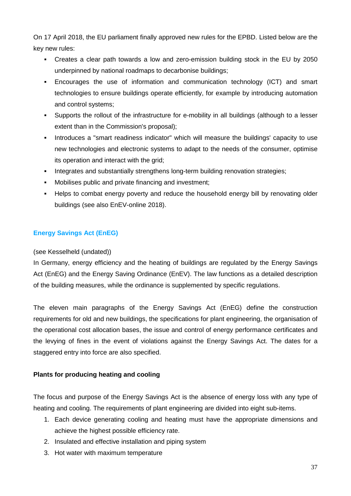On 17 April 2018, the EU parliament finally approved new rules for the EPBD. Listed below are the key new rules:

- Creates a clear path towards a low and zero-emission building stock in the EU by 2050 underpinned by national roadmaps to decarbonise buildings;
- Encourages the use of information and communication technology (ICT) and smart technologies to ensure buildings operate efficiently, for example by introducing automation and control systems;
- Supports the rollout of the infrastructure for e-mobility in all buildings (although to a lesser extent than in the Commission's proposal);
- Introduces a "smart readiness indicator" which will measure the buildings' capacity to use new technologies and electronic systems to adapt to the needs of the consumer, optimise its operation and interact with the grid;
- Integrates and substantially strengthens long-term building renovation strategies;
- Mobilises public and private financing and investment;
- Helps to combat energy poverty and reduce the household energy bill by renovating older buildings (see also EnEV-online 2018).

# <span id="page-38-0"></span>**Energy Savings Act (EnEG)**

## (see Kesselheld (undated))

In Germany, energy efficiency and the heating of buildings are regulated by the Energy Savings Act (EnEG) and the Energy Saving Ordinance (EnEV). The law functions as a detailed description of the building measures, while the ordinance is supplemented by specific regulations.

The eleven main paragraphs of the Energy Savings Act (EnEG) define the construction requirements for old and new buildings, the specifications for plant engineering, the organisation of the operational cost allocation bases, the issue and control of energy performance certificates and the levying of fines in the event of violations against the Energy Savings Act. The dates for a staggered entry into force are also specified.

## **Plants for producing heating and cooling**

The focus and purpose of the Energy Savings Act is the absence of energy loss with any type of heating and cooling. The requirements of plant engineering are divided into eight sub-items.

- 1. Each device generating cooling and heating must have the appropriate dimensions and achieve the highest possible efficiency rate.
- 2. Insulated and effective installation and piping system
- 3. Hot water with maximum temperature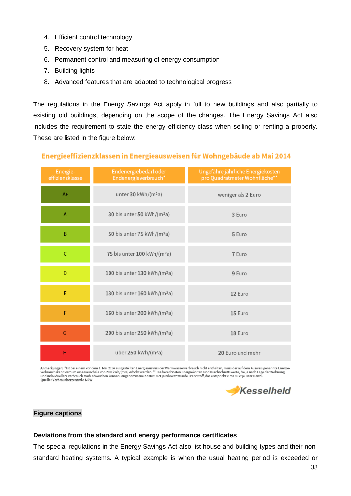- 4. Efficient control technology
- 5. Recovery system for heat
- 6. Permanent control and measuring of energy consumption
- 7. Building lights
- 8. Advanced features that are adapted to technological progress

The regulations in the Energy Savings Act apply in full to new buildings and also partially to existing old buildings, depending on the scope of the changes. The Energy Savings Act also includes the requirement to state the energy efficiency class when selling or renting a property. These are listed in the figure below:

#### Endenergiebedarf oder Ungefähre jährliche Energiekosten Energieeffizienzklasse Endenergieverbrauch\* pro Quadratmeter Wohnfläche\*  $A+$ unter 30 kWh/(m<sup>2</sup>a) weniger als 2 Euro A 30 bis unter 50 kWh/(m<sup>2</sup>a) 3 Euro B 50 bis unter 75 kWh/(m<sup>2</sup>a) 5 Euro  $\overline{C}$ 75 bis unter 100 kWh/(m<sup>2</sup>a) 7 Euro D 100 bis unter 130 kWh/(m<sup>2</sup>a) 9 Euro E 130 bis unter 160 kWh/(m<sup>2</sup>a) 12 Euro F 160 bis unter 200 kWh/(m<sup>2</sup>a) 15 Euro G 200 bis unter 250 kWh/(m<sup>2</sup>a) 18 Euro  $H$ über 250 kWh/(m<sup>2</sup>a) 20 Euro und mehr

Energieeffizienzklassen in Energieausweisen für Wohngebäude ab Mai 2014

Anmerkungen: \* Ist bei einem vor dem 1. Mai 2014 ausgestellten Energieausweis der Warmwasserverbrauch nicht enthalten, muss der auf dem Ausweis genannte Energie-<br>verbrauchskennwert um eine Pauschale von 20,0 kWh/(mªa) erhö Quelle: Verbraucherzentrale NRW



## **Figure captions**

## **Deviations from the standard and energy performance certificates**

The special regulations in the Energy Savings Act also list house and building types and their nonstandard heating systems. A typical example is when the usual heating period is exceeded or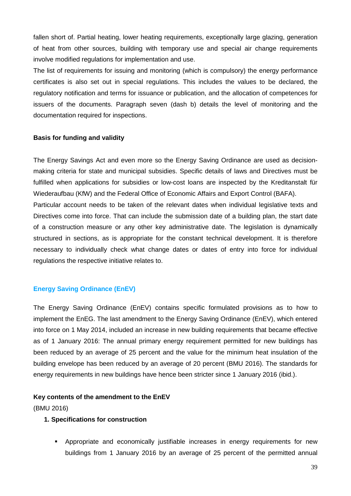fallen short of. Partial heating, lower heating requirements, exceptionally large glazing, generation of heat from other sources, building with temporary use and special air change requirements involve modified regulations for implementation and use.

The list of requirements for issuing and monitoring (which is compulsory) the energy performance certificates is also set out in special regulations. This includes the values to be declared, the regulatory notification and terms for issuance or publication, and the allocation of competences for issuers of the documents. Paragraph seven (dash b) details the level of monitoring and the documentation required for inspections.

## **Basis for funding and validity**

The Energy Savings Act and even more so the Energy Saving Ordinance are used as decisionmaking criteria for state and municipal subsidies. Specific details of laws and Directives must be fulfilled when applications for subsidies or low-cost loans are inspected by the Kreditanstalt für Wiederaufbau (KfW) and the Federal Office of Economic Affairs and Export Control (BAFA). Particular account needs to be taken of the relevant dates when individual legislative texts and Directives come into force. That can include the submission date of a building plan, the start date of a construction measure or any other key administrative date. The legislation is dynamically structured in sections, as is appropriate for the constant technical development. It is therefore necessary to individually check what change dates or dates of entry into force for individual regulations the respective initiative relates to.

## <span id="page-40-0"></span>**Energy Saving Ordinance (EnEV)**

The Energy Saving Ordinance (EnEV) contains specific formulated provisions as to how to implement the EnEG. The last amendment to the Energy Saving Ordinance (EnEV), which entered into force on 1 May 2014, included an increase in new building requirements that became effective as of 1 January 2016: The annual primary energy requirement permitted for new buildings has been reduced by an average of 25 percent and the value for the minimum heat insulation of the building envelope has been reduced by an average of 20 percent (BMU 2016). The standards for energy requirements in new buildings have hence been stricter since 1 January 2016 (ibid.).

## **Key contents of the amendment to the EnEV**

(BMU 2016)

## **1. Specifications for construction**

 Appropriate and economically justifiable increases in energy requirements for new buildings from 1 January 2016 by an average of 25 percent of the permitted annual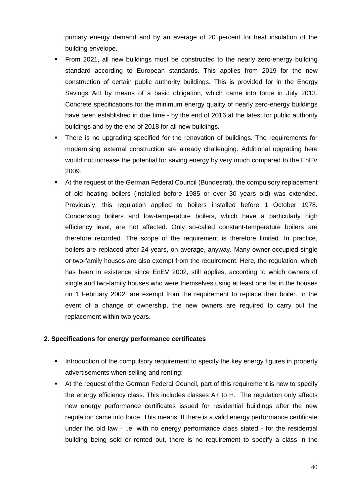primary energy demand and by an average of 20 percent for heat insulation of the building envelope.

- From 2021, all new buildings must be constructed to the nearly zero-energy building standard according to European standards. This applies from 2019 for the new construction of certain public authority buildings. This is provided for in the Energy Savings Act by means of a basic obligation, which came into force in July 2013. Concrete specifications for the minimum energy quality of nearly zero-energy buildings have been established in due time - by the end of 2016 at the latest for public authority buildings and by the end of 2018 for all new buildings.
- There is no upgrading specified for the renovation of buildings. The requirements for modernising external construction are already challenging. Additional upgrading here would not increase the potential for saving energy by very much compared to the EnEV 2009.
- At the request of the German Federal Council (Bundesrat), the compulsory replacement of old heating boilers (installed before 1985 or over 30 years old) was extended. Previously, this regulation applied to boilers installed before 1 October 1978. Condensing boilers and low-temperature boilers, which have a particularly high efficiency level, are not affected. Only so-called constant-temperature boilers are therefore recorded. The scope of the requirement is therefore limited. In practice, boilers are replaced after 24 years, on average, anyway. Many owner-occupied single or two-family houses are also exempt from the requirement. Here, the regulation, which has been in existence since EnEV 2002, still applies, according to which owners of single and two-family houses who were themselves using at least one flat in the houses on 1 February 2002, are exempt from the requirement to replace their boiler. In the event of a change of ownership, the new owners are required to carry out the replacement within two years.

## **2. Specifications for energy performance certificates**

- Introduction of the compulsory requirement to specify the key energy figures in property advertisements when selling and renting:
- At the request of the German Federal Council, part of this requirement is now to specify the energy efficiency class. This includes classes A+ to H. The regulation only affects new energy performance certificates issued for residential buildings after the new regulation came into force. This means: If there is a valid energy performance certificate under the old law - i.e. with no energy performance class stated - for the residential building being sold or rented out, there is no requirement to specify a class in the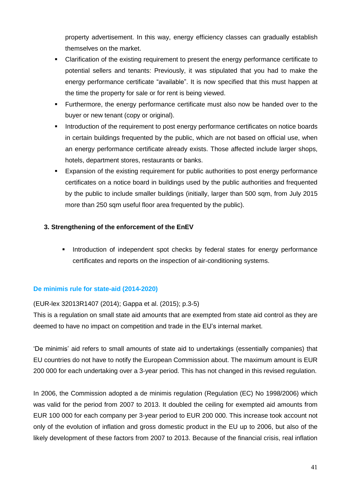property advertisement. In this way, energy efficiency classes can gradually establish themselves on the market.

- Clarification of the existing requirement to present the energy performance certificate to potential sellers and tenants: Previously, it was stipulated that you had to make the energy performance certificate "available". It is now specified that this must happen at the time the property for sale or for rent is being viewed.
- **Furthermore, the energy performance certificate must also now be handed over to the** buyer or new tenant (copy or original).
- Introduction of the requirement to post energy performance certificates on notice boards in certain buildings frequented by the public, which are not based on official use, when an energy performance certificate already exists. Those affected include larger shops, hotels, department stores, restaurants or banks.
- Expansion of the existing requirement for public authorities to post energy performance certificates on a notice board in buildings used by the public authorities and frequented by the public to include smaller buildings (initially, larger than 500 sqm, from July 2015 more than 250 sqm useful floor area frequented by the public).

# **3. Strengthening of the enforcement of the EnEV**

Introduction of independent spot checks by federal states for energy performance certificates and reports on the inspection of air-conditioning systems.

## <span id="page-42-0"></span>**De minimis rule for state-aid (2014-2020)**

## (EUR-lex 32013R1407 (2014); Gappa et al. (2015); p.3-5)

This is a regulation on small state aid amounts that are exempted from state aid control as they are deemed to have no impact on competition and trade in the EU's internal market.

'De minimis' aid refers to small amounts of state aid to undertakings (essentially companies) that EU countries do not have to notify the European Commission about. The maximum amount is EUR 200 000 for each undertaking over a 3-year period. This has not changed in this revised regulation.

In 2006, the Commission adopted a de minimis regulation (Regulation (EC) No 1998/2006) which was valid for the period from 2007 to 2013. It doubled the ceiling for exempted aid amounts from EUR 100 000 for each company per 3-year period to EUR 200 000. This increase took account not only of the evolution of inflation and gross domestic product in the EU up to 2006, but also of the likely development of these factors from 2007 to 2013. Because of the financial crisis, real inflation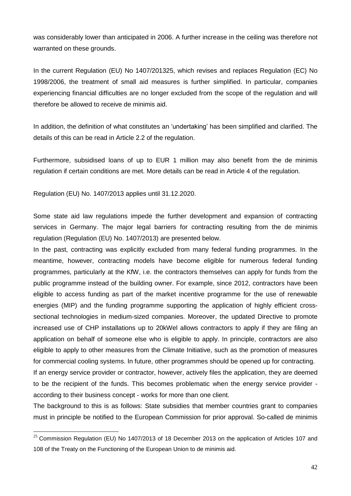was considerably lower than anticipated in 2006. A further increase in the ceiling was therefore not warranted on these grounds.

In the current Regulation (EU) No 1407/201325, which revises and replaces Regulation (EC) No 1998/2006, the treatment of small aid measures is further simplified. In particular, companies experiencing financial difficulties are no longer excluded from the scope of the regulation and will therefore be allowed to receive de minimis aid.

In addition, the definition of what constitutes an 'undertaking' has been simplified and clarified. The details of this can be read in Article 2.2 of the regulation.

Furthermore, subsidised loans of up to EUR 1 million may also benefit from the de minimis regulation if certain conditions are met. More details can be read in Article 4 of the regulation.

Regulation (EU) No. 1407/2013 applies until 31.12.2020.

Some state aid law regulations impede the further development and expansion of contracting services in Germany. The major legal barriers for contracting resulting from the de minimis regulation (Regulation (EU) No. 1407/2013) are presented below.

In the past, contracting was explicitly excluded from many federal funding programmes. In the meantime, however, contracting models have become eligible for numerous federal funding programmes, particularly at the KfW, i.e. the contractors themselves can apply for funds from the public programme instead of the building owner. For example, since 2012, contractors have been eligible to access funding as part of the market incentive programme for the use of renewable energies (MIP) and the funding programme supporting the application of highly efficient crosssectional technologies in medium-sized companies. Moreover, the updated Directive to promote increased use of CHP installations up to 20kWel allows contractors to apply if they are filing an application on behalf of someone else who is eligible to apply. In principle, contractors are also eligible to apply to other measures from the Climate Initiative, such as the promotion of measures for commercial cooling systems. In future, other programmes should be opened up for contracting. If an energy service provider or contractor, however, actively files the application, they are deemed to be the recipient of the funds. This becomes problematic when the energy service provider -

The background to this is as follows: State subsidies that member countries grant to companies must in principle be notified to the European Commission for prior approval. So-called de minimis

according to their business concept - works for more than one client.

1

 $25$  Commission Regulation (EU) No 1407/2013 of 18 December 2013 on the application of Articles 107 and 108 of the Treaty on the Functioning of the European Union to de minimis aid.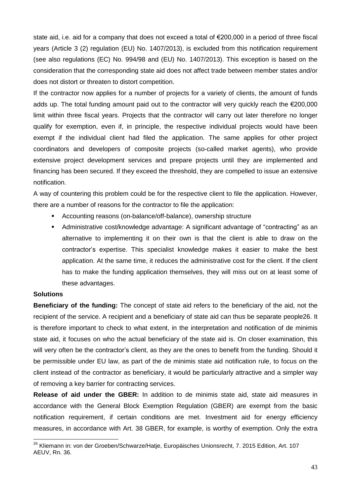state aid, i.e. aid for a company that does not exceed a total of €200,000 in a period of three fiscal years (Article 3 (2) regulation (EU) No. 1407/2013), is excluded from this notification requirement (see also regulations (EC) No. 994/98 and (EU) No. 1407/2013). This exception is based on the consideration that the corresponding state aid does not affect trade between member states and/or does not distort or threaten to distort competition.

If the contractor now applies for a number of projects for a variety of clients, the amount of funds adds up. The total funding amount paid out to the contractor will very quickly reach the €200,000 limit within three fiscal years. Projects that the contractor will carry out later therefore no longer qualify for exemption, even if, in principle, the respective individual projects would have been exempt if the individual client had filed the application. The same applies for other project coordinators and developers of composite projects (so-called market agents), who provide extensive project development services and prepare projects until they are implemented and financing has been secured. If they exceed the threshold, they are compelled to issue an extensive notification.

A way of countering this problem could be for the respective client to file the application. However, there are a number of reasons for the contractor to file the application:

- Accounting reasons (on-balance/off-balance), ownership structure
- Administrative cost/knowledge advantage: A significant advantage of "contracting" as an alternative to implementing it on their own is that the client is able to draw on the contractor's expertise. This specialist knowledge makes it easier to make the best application. At the same time, it reduces the administrative cost for the client. If the client has to make the funding application themselves, they will miss out on at least some of these advantages.

## **Solutions**

-

**Beneficiary of the funding:** The concept of state aid refers to the beneficiary of the aid, not the recipient of the service. A recipient and a beneficiary of state aid can thus be separate people26. It is therefore important to check to what extent, in the interpretation and notification of de minimis state aid, it focuses on who the actual beneficiary of the state aid is. On closer examination, this will very often be the contractor's client, as they are the ones to benefit from the funding. Should it be permissible under EU law, as part of the de minimis state aid notification rule, to focus on the client instead of the contractor as beneficiary, it would be particularly attractive and a simpler way of removing a key barrier for contracting services.

**Release of aid under the GBER:** In addition to de minimis state aid, state aid measures in accordance with the General Block Exemption Regulation (GBER) are exempt from the basic notification requirement, if certain conditions are met. Investment aid for energy efficiency measures, in accordance with Art. 38 GBER, for example, is worthy of exemption. Only the extra

<sup>&</sup>lt;sup>26</sup> Kliemann in: von der Groeben/Schwarze/Hatje, Europäisches Unionsrecht, 7. 2015 Edition, Art. 107 AEUV, Rn. 36.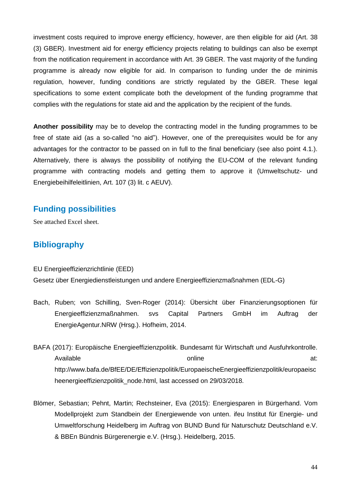investment costs required to improve energy efficiency, however, are then eligible for aid (Art. 38 (3) GBER). Investment aid for energy efficiency projects relating to buildings can also be exempt from the notification requirement in accordance with Art. 39 GBER. The vast majority of the funding programme is already now eligible for aid. In comparison to funding under the de minimis regulation, however, funding conditions are strictly regulated by the GBER. These legal specifications to some extent complicate both the development of the funding programme that complies with the regulations for state aid and the application by the recipient of the funds.

**Another possibility** may be to develop the contracting model in the funding programmes to be free of state aid (as a so-called "no aid"). However, one of the prerequisites would be for any advantages for the contractor to be passed on in full to the final beneficiary (see also point 4.1.). Alternatively, there is always the possibility of notifying the EU-COM of the relevant funding programme with contracting models and getting them to approve it (Umweltschutz- und Energiebeihilfeleitlinien, Art. 107 (3) lit. c AEUV).

# <span id="page-45-0"></span>**Funding possibilities**

<span id="page-45-1"></span>See attached Excel sheet.

# **Bibliography**

EU Energieeffizienzrichtlinie (EED)

Gesetz über Energiedienstleistungen und andere Energieeffizienzmaßnahmen (EDL-G)

- Bach, Ruben; von Schilling, Sven-Roger (2014): Übersicht über Finanzierungsoptionen für Energieeffizienzmaßnahmen. svs Capital Partners GmbH im Auftrag der EnergieAgentur.NRW (Hrsg.). Hofheim, 2014.
- BAFA (2017): Europäische Energieeffizienzpolitik. Bundesamt für Wirtschaft und Ausfuhrkontrolle. Available online at: http://www.bafa.de/BfEE/DE/Effizienzpolitik/EuropaeischeEnergieeffizienzpolitik/europaeisc heenergieeffizienzpolitik\_node.html, last accessed on 29/03/2018.
- Blömer, Sebastian; Pehnt, Martin; Rechsteiner, Eva (2015): Energiesparen in Bürgerhand. Vom Modellprojekt zum Standbein der Energiewende von unten. ifeu Institut für Energie- und Umweltforschung Heidelberg im Auftrag von BUND Bund für Naturschutz Deutschland e.V. & BBEn Bündnis Bürgerenergie e.V. (Hrsg.). Heidelberg, 2015.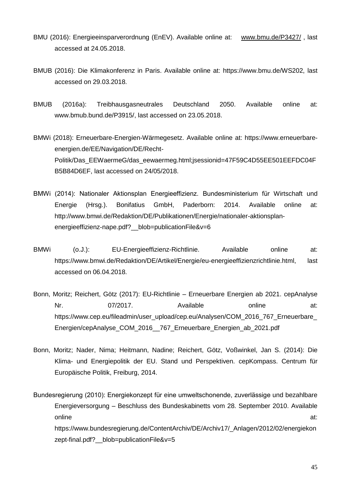- BMU (2016): Energieeinsparverordnung (EnEV). Available online at: [www.bmu.de/P3427/](http://www.bmu.de/P3427/) , last accessed at 24.05.2018.
- BMUB (2016): Die Klimakonferenz in Paris. Available online at: https://www.bmu.de/WS202, last accessed on 29.03.2018.
- BMUB (2016a): Treibhausgasneutrales Deutschland 2050. Available online at: www.bmub.bund.de/P3915/, last accessed on 23.05.2018.
- BMWi (2018): Erneuerbare-Energien-Wärmegesetz. Available online at: https://www.erneuerbareenergien.de/EE/Navigation/DE/Recht-Politik/Das\_EEWaermeG/das\_eewaermeg.html;jsessionid=47F59C4D55EE501EEFDC04F B5B84D6EF, last accessed on 24/05/2018.
- BMWi (2014): Nationaler Aktionsplan Energieeffizienz. Bundesministerium für Wirtschaft und Energie (Hrsg.). Bonifatius GmbH, Paderborn: 2014. Available online at: http://www.bmwi.de/Redaktion/DE/Publikationen/Energie/nationaler-aktionsplanenergieeffizienz-nape.pdf? blob=publicationFile&v=6
- BMWi (0.J.): EU-Energieeffizienz-Richtlinie. Available online at: https://www.bmwi.de/Redaktion/DE/Artikel/Energie/eu-energieeffizienzrichtlinie.html, last accessed on 06.04.2018.
- Bonn, Moritz; Reichert, Götz (2017): EU-Richtlinie Erneuerbare Energien ab 2021. cepAnalyse Nr. 67/2017. Available conline at: https://www.cep.eu/fileadmin/user\_upload/cep.eu/Analysen/COM\_2016\_767\_Erneuerbare Energien/cepAnalyse\_COM\_2016\_\_767\_Erneuerbare\_Energien\_ab\_2021.pdf
- Bonn, Moritz; Nader, Nima; Heitmann, Nadine; Reichert, Götz, Voßwinkel, Jan S. (2014): Die Klima- und Energiepolitik der EU. Stand und Perspektiven. cepKompass. Centrum für Europäische Politik, Freiburg, 2014.

Bundesregierung (2010): Energiekonzept für eine umweltschonende, zuverlässige und bezahlbare Energieversorgung – Beschluss des Bundeskabinetts vom 28. September 2010. Available online at: https://www.bundesregierung.de/ContentArchiv/DE/Archiv17/\_Anlagen/2012/02/energiekon zept-final.pdf? blob=publicationFile&v=5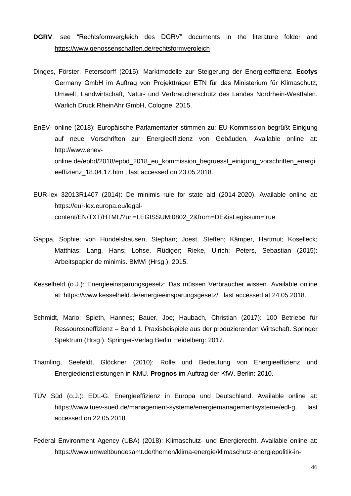- **DGRV**: see "Rechtsformvergleich des DGRV" documents in the literature folder and <https://www.genossenschaften.de/rechtsformvergleich>
- Dinges, Förster, Petersdorff (2015): Marktmodelle zur Steigerung der Energieeffizienz. **Ecofys** Germany GmbH im Auftrag von Projektträger ETN für das Ministerium für Klimaschutz, Umwelt, Landwirtschaft, Natur- und Verbraucherschutz des Landes Nordrhein-Westfalen. Warlich Druck RheinAhr GmbH, Cologne: 2015.
- EnEV- online (2018): Europäische Parlamentarier stimmen zu: EU-Kommission begrüßt Einigung auf neue Vorschriften zur Energieeffizienz von Gebäuden. Available online at: http://www.enevonline.de/epbd/2018/epbd\_2018\_eu\_kommission\_begruesst\_einigung\_vorschriften\_energi eeffizienz\_18.04.17.htm , last accessed on 23.05.2018.
- EUR-lex 32013R1407 (2014): De minimis rule for state aid (2014-2020). Available online at: https://eur-lex.europa.eu/legalcontent/EN/TXT/HTML/?uri=LEGISSUM:0802\_2&from=DE&isLegissum=true
- Gappa, Sophie; von Hundelshausen, Stephan; Joest, Steffen; Kämper, Hartmut; Koselleck; Matthias; Lang, Hans; Lohse, Rüdiger; Rieke, Ulrich; Peters, Sebastian (2015): Arbeitspapier de minimis. BMWi (Hrsg.), 2015.
- Kesselheld (o.J.): Energieeinsparungsgesetz: Das müssen Verbraucher wissen. Available online at: https://www.kesselheld.de/energieeinsparungsgesetz/ , last accessed at 24.05.2018.
- Schmidt, Mario; Spieth, Hannes; Bauer, Joe; Haubach, Christian (2017): 100 Betriebe für Ressourceneffizienz – Band 1. Praxisbeispiele aus der produzierenden Wirtschaft. Springer Spektrum (Hrsg.). Springer-Verlag Berlin Heidelberg: 2017.
- Thamling, Seefeldt, Glöckner (2010): Rolle und Bedeutung von Energieeffizienz und Energiedienstleistungen in KMU. **Prognos** im Auftrag der KfW. Berlin: 2010.
- TÜV Süd (o.J.): EDL-G. Energieeffizienz in Europa und Deutschland. Available online at: https://www.tuev-sued.de/management-systeme/energiemanagementsysteme/edl-g, last accessed on 22.05.2018
- Federal Environment Agency (UBA) (2018): Klimaschutz- und Energierecht. Available online at: https://www.umweltbundesamt.de/themen/klima-energie/klimaschutz-energiepolitik-in-

46